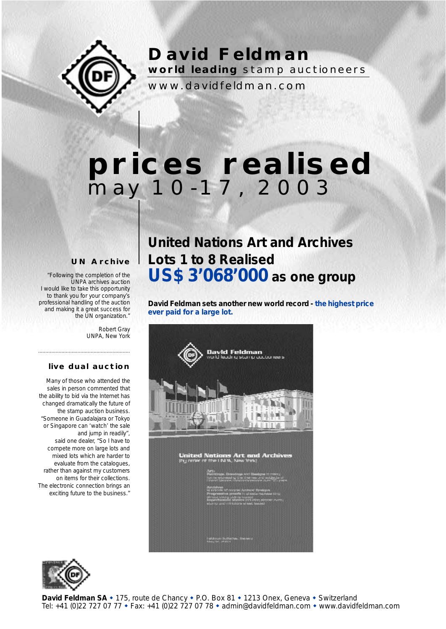

**David Feldman world leading** stamp auctioneers

www.davidfeldman.com

# **prices realised** may 10-17, 2003

#### **UN Archive**

*"Following the completion of the UNPA archives auction I would like to take this opportunity to thank you for your company's professional handling of the auction and making it a great success for the UN organization."*

> *Robert Gray UNPA, New York*

#### **live dual auction**

*...............................................................*

*Many of those who attended the sales in person commented that the ability to bid via the Internet has changed dramatically the future of the stamp auction business. "Someone in Guadalajara or Tokyo or Singapore can 'watch' the sale and jump in readily", said one dealer, "So I have to compete more on large lots and mixed lots which are harder to evaluate from the catalogues, rather than against my customers on items for their collections. The electronic connection brings an exciting future to the business."*

## **United Nations Art and Archives Lots 1 to 8 Realised US\$ 3'068'000 as one group**

**David Feldman sets another new world record - the highest price ever paid for a large lot.**



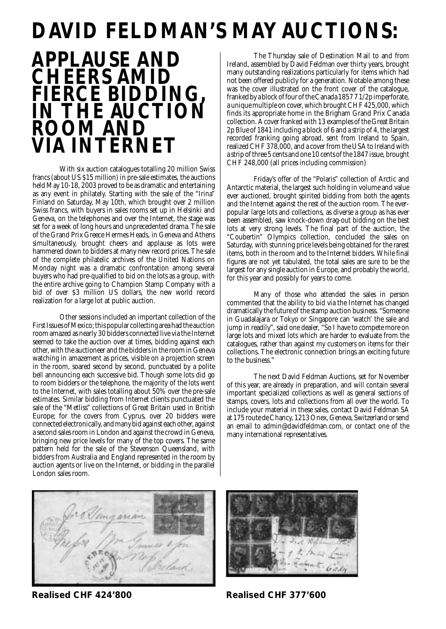# **DAVID FELDMAN'S MAY AUCTIONS:**



With six auction catalogues totalling 20 million Swiss francs (about US \$15 million) in pre-sale estimates, the auctions held May 10-18, 2003 proved to be as dramatic and entertaining as any event in philately. Starting with the sale of the "Irina" Finland on Saturday, May 10th, which brought over 2 million Swiss francs, with buyers in sales rooms set up in Helsinki and Geneva, on the telephones and over the Internet, the stage was set for a week of long hours and unprecedented drama. The sale of the Grand Prix Greece Hermes Heads, in Geneva and Athens simultaneously, brought cheers and applause as lots were hammered down to bidders at many new record prices. The sale of the complete philatelic archives of the United Nations on Monday night was a dramatic confrontation among several buyers who had pre-qualified to bid on the lots as a group, with the entire archive going to Champion Stamp Company with a bid of over \$3 million US dollars, the new world record realization for a large lot at public auction.

Other sessions included an important collection of the First Issues of Mexico; this popular collecting area had the auction room amazed as nearly 30 bidders connected live via the Internet seemed to take the auction over at times, bidding against each other, with the auctioneer and the bidders in the room in Geneva watching in amazement as prices, visible on a projection screen in the room, soared second by second, punctuated by a polite bell announcing each successive bid. Though some lots did go to room bidders or the telephone, the majority of the lots went to the Internet, with sales totalling about 50% over the pre-sale estimates. Similar bidding from Internet clients punctuated the sale of the "Metliss" collections of Great Britain used in British Europe; for the covers from Cyprus, over 20 bidders were connected electronically, and many bid against each other, against a second sales room in London and against the crowd in Geneva, bringing new price levels for many of the top covers. The same pattern held for the sale of the Stevenson Queensland, with bidders from Australia and England represented in the room by auction agents or live on the Internet, or bidding in the parallel London sales room.

The Thursday sale of Destination Mail to and from Ireland, assembled by David Feldman over thirty years, brought many outstanding realizations particularly for items which had not been offered publicly for a generation. Notable among these was the cover illustrated on the front cover of the catalogue, franked by a block of four of the Canada 1857 7 1/2p imperforate, a unique multiple on cover, which brought CHF 425,000, which finds its appropriate home in the Brigham Grand Prix Canada collection. A cover franked with 13 examples of the Great Britain 2p Blue of 1841 including a block of 6 and a strip of 4, the largest recorded franking going abroad, sent from Ireland to Spain, realized CHF 378,000, and a cover from the USA to Ireland with a strip of three 5 cents and one 10 cents of the 1847 issue, brought CHF 248,000 (all prices including commission)

Friday's offer of the "Polaris" collection of Arctic and Antarctic material, the largest such holding in volume and value ever auctioned, brought spirited bidding from both the agents and the Internet against the rest of the auction room. The everpopular large lots and collections, as diverse a group as has ever been assembled, saw knock-down drag-out bidding on the best lots at very strong levels. The final part of the auction, the "Coubertin" Olympics collection, concluded the sales on Saturday, with stunning price levels being obtained for the rarest items, both in the room and to the Internet bidders. While final figures are not yet tabulated, the total sales are sure to be the largest for any single auction in Europe, and probably the world, for this year and possibly for years to come.

Many of those who attended the sales in person commented that the ability to bid via the Internet has changed dramatically the future of the stamp auction business. "Someone in Guadalajara or Tokyo or Singapore can 'watch' the sale and jump in readily", said one dealer, "So I have to compete more on large lots and mixed lots which are harder to evaluate from the catalogues, rather than against my customers on items for their collections. The electronic connection brings an exciting future to the business."

The next David Feldman Auctions, set for November of this year, are already in preparation, and will contain several important specialized collections as well as general sections of stamps, covers, lots and collections from all over the world. To include your material in these sales, contact David Feldman SA at 175 route de Chancy, 1213 Onex, Geneva, Switzerland or send an email to admin@davidfeldman.com, or contact one of the many international representatives.



**Realised CHF 424'800 Realised CHF 377'600**

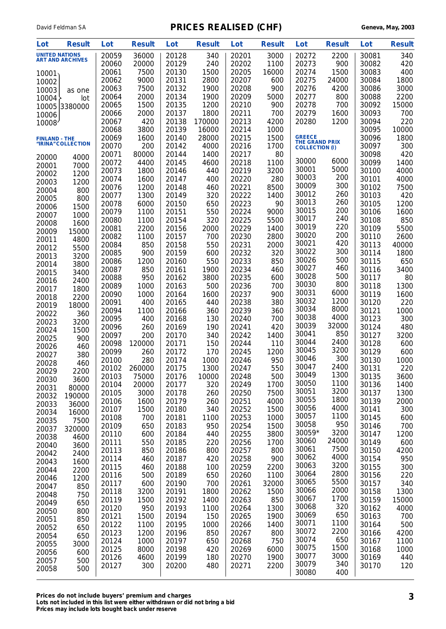| Lot                   | <b>Result</b>           | Lot            | <b>Result</b> | Lot            | <b>Result</b> | Lot            | <b>Result</b> | Lot                                    | <b>Result</b> | Lot            | <b>Result</b> |
|-----------------------|-------------------------|----------------|---------------|----------------|---------------|----------------|---------------|----------------------------------------|---------------|----------------|---------------|
| <b>UNITED NATIONS</b> |                         | 20059          | 36000         | 20128          | 340           | 20201          | 3000          | 20272                                  | 2200          | 30081          | 340           |
|                       | <b>ART AND ARCHIVES</b> | 20060          | 20000         | 20129          | 240           | 20202          | 1100          | 20273                                  | 900           | 30082          | 420           |
| 10001                 |                         | 20061          | 7500          | 20130          | 1500          | 20205          | 16000         | 20274                                  | 1500          | 30083          | 400           |
| 10002                 |                         | 20062          | 9000          | 20131          | 2800          | 20207          | 600           | 20275                                  | 24000         | 30084          | 1800          |
| 10003                 | as one                  | 20063          | 7500          | 20132          | 1900          | 20208          | 900           | 20276                                  | 4200          | 30086          | 3000          |
| 10004                 | lot                     | 20064          | 2000          | 20134          | 1900          | 20209          | 5000          | 20277                                  | 800           | 30088          | 2200          |
| 10005                 | 3380000                 | 20065          | 1500          | 20135          | 1200          | 20210          | 900           | 20278                                  | 700           | 30092          | 15000         |
| 10006                 |                         | 20066          | 2000          | 20137          | 1800          | 20211          | 700           | 20279                                  | 1600          | 30093          | 700           |
| 10008                 |                         | 20067          | 420           | 20138          | 170000        | 20213          | 4200          | 20280                                  | 1200          | 30094          | 220           |
|                       |                         | 20068          | 3800          | 20139          | 16000         | 20214          | 1000          |                                        |               | 30095          | 10000         |
| <b>FINLAND - THE</b>  | "IRINA" COLLECTION      | 20069          | 1600          | 20140          | 28000         | 20215          | 1500          | <b>GREECE</b><br><b>THE GRAND PRIX</b> |               | 30096          | 1800          |
|                       |                         | 20070          | 200           | 20142          | 4000          | 20216          | 1700<br>80    | <b>COLLECTION (I)</b>                  |               | 30097          | 300           |
| 20000                 | 4000                    | 20071<br>20072 | 80000<br>4400 | 20144<br>20145 | 1400          | 20217<br>20218 | 1100          | 30000                                  | 6000          | 30098<br>30099 | 420<br>1400   |
| 20001                 | 7000                    | 20073          | 1800          | 20146          | 4600<br>440   | 20219          | 3200          | 30001                                  | 5000          | 30100          | 4000          |
| 20002                 | 1200                    | 20074          | 1600          | 20147          | 400           | 20220          | 280           | 30003                                  | 200           | 30101          | 4000          |
| 20003                 | 1200                    | 20076          | 1200          | 20148          | 460           | 20221          | 8500          | 30009                                  | 300           | 30102          | 7500          |
| 20004                 | 800                     | 20077          | 1300          | 20149          | 320           | 20222          | 1400          | 30012                                  | 260           | 30103          | 420           |
| 20005                 | 800                     | 20078          | 6000          | 20150          | 650           | 20223          | 90            | 30013                                  | 260           | 30105          | 1200          |
| 20006                 | 1500                    | 20079          | 1100          | 20151          | 550           | 20224          | 9000          | 30015                                  | 200           | 30106          | 1600          |
| 20007                 | 1000                    | 20080          | 1100          | 20154          | 320           | 20225          | 5500          | 30017                                  | 240           | 30108          | 850           |
| 20008<br>20009        | 1600<br>15000           | 20081          | 2200          | 20156          | 2000          | 20229          | 1400          | 30019                                  | 220           | 30109          | 5500          |
| 20011                 | 4800                    | 20082          | 1100          | 20157          | 700           | 20230          | 2800          | 30020                                  | 200           | 30110          | 2600          |
| 20012                 | 5500                    | 20084          | 850           | 20158          | 550           | 20231          | 2000          | 30021                                  | 420           | 30113          | 40000         |
| 20013                 | 3200                    | 20085          | 900           | 20159          | 600           | 20232          | 320           | 30022                                  | 300           | 30114          | 1800          |
| 20014                 | 3800                    | 20086          | 1200          | 20160          | 550           | 20233          | 850           | 30026                                  | 500           | 30115          | 650           |
| 20015                 | 3400                    | 20087          | 850           | 20161          | 1900          | 20234          | 460           | 30027                                  | 460           | 30116          | 3400          |
| 20016                 | 2400                    | 20088          | 950           | 20162          | 3800          | 20235          | 600           | 30028                                  | 500           | 30117          | 80            |
| 20017                 | 1800                    | 20089          | 1000          | 20163          | 500           | 20236          | 700           | 30030                                  | 800           | 30118          | 1300          |
| 20018                 | 2200                    | 20090          | 1000          | 20164          | 1600          | 20237          | 900           | 30031                                  | 6000          | 30119          | 1600          |
| 20019                 | 18000                   | 20091          | 400           | 20165          | 440           | 20238          | 380           | 30032                                  | 1200          | 30120          | 220           |
| 20022                 | 360                     | 20094          | 1100          | 20166          | 360           | 20239          | 360           | 30034                                  | 8000<br>4000  | 30121          | 1000          |
| 20023                 | 3200                    | 20095          | 400           | 20168          | 130           | 20240          | 700           | 30038<br>30039                         | 32000         | 30123          | 300           |
| 20024                 | 1500                    | 20096          | 260           | 20169          | 190           | 20241          | 420           | 30041                                  | 850           | 30124          | 480           |
| 20025                 | 900                     | 20097<br>20098 | 200<br>120000 | 20170<br>20171 | 340<br>150    | 20242<br>20244 | 1400<br>110   | 30044                                  | 2400          | 30127<br>30128 | 3200<br>600   |
| 20026                 | 460                     | 20099          | 260           | 20172          | 170           | 20245          | 1200          | 30045                                  | 3200          | 30129          | 600           |
| 20027                 | 380                     | 20100          | 280           | 20174          | 1000          | 20246          | 950           | 30046                                  | 300           | 30130          | 1000          |
| 20028                 | 460                     | 20102          | 260000        | 20175          | 1300          | 20247          | 550           | 30047                                  | 2400          | 30131          | 220           |
| 20029                 | 2200                    | 20103          | 75000         | 20176          | 10000         | 20248          | 500           | 30049                                  | 1300          | 30135          | 3600          |
| 20030                 | 3600                    | 20104          | 20000         | 20177          | 320           | 20249          | 1700          | 30050                                  | 1100          | 30136          | 1400          |
| 20031                 | 80000                   | 20105          | 3000          | 20178          | 260           | 20250          | 7500          | 30051                                  | 3200          | 30137          | 1300          |
| 20032<br>20033        | 190000<br>36000         | 20106          | 1600          | 20179          | 260           | 20251          | 4000          | 30055                                  | 1800          | 30139          | 2000          |
| 20034                 | 16000                   | 20107          | 1500          | 20180          | 340           | 20252          | 1500          | 30056                                  | 4000          | 30141          | 300           |
| 20035                 | 7500                    | 20108          | 700           | 20181          | 1100          | 20253          | 1000          | 30057                                  | 1100          | 30145          | 600           |
| 20037                 | 320000                  | 20109          | 650           | 20183          | 950           | 20254          | 1500          | 30058                                  | 950           | 30146          | 700           |
| 20038                 | 4600                    | 20110          | 600           | 20184          | 440           | 20255          | 3800          | 30059*                                 | 3200          | 30147          | 1200          |
| 20040                 | 3600                    | 20111          | 550           | 20185          | 220           | 20256          | 1700          | 30060                                  | 24000         | 30149          | 600           |
| 20042                 | 2400                    | 20113          | 850           | 20186          | 800           | 20257          | 800           | 30061                                  | 7500          | 30150          | 4200          |
| 20043                 | 1600                    | 20114          | 460           | 20187          | 420           | 20258          | 900           | 30062                                  | 4000          | 30154          | 950           |
| 20044                 | 2200                    | 20115          | 460           | 20188          | 100           | 20259          | 2200          | 30063                                  | 3200          | 30155          | 300           |
| 20046                 | 1200                    | 20116          | 500           | 20189          | 650           | 20260          | 1100          | 30064<br>30065                         | 2800<br>5500  | 30156          | 220           |
| 20047                 | 850                     | 20117          | 600           | 20190          | 700           | 20261          | 32000         | 30066                                  | 2000          | 30157          | 340           |
| 20048                 | 750                     | 20118          | 3200          | 20191          | 1800          | 20262          | 1500          | 30067                                  | 1700          | 30158          | 1300          |
| 20049                 | 650                     | 20119<br>20120 | 1500<br>950   | 20192<br>20193 | 1400<br>1100  | 20263<br>20264 | 850<br>1300   | 30068                                  | 320           | 30159<br>30162 | 15000<br>4000 |
| 20050                 | 800                     | 20121          | 1500          | 20194          | 150           | 20265          | 1900          | 30069                                  | 650           | 30163          | 700           |
| 20051                 | 850                     | 20122          | 1100          | 20195          | 1000          | 20266          | 1400          | 30071                                  | 1100          | 30164          | 500           |
| 20052                 | 650                     | 20123          | 1200          | 20196          | 850           | 20267          | 800           | 30072                                  | 2200          | 30166          | 4200          |
| 20054                 | 650                     | 20124          | 1000          | 20197          | 650           | 20268          | 750           | 30074                                  | 650           | 30167          | 1100          |
| 20055                 | 3000                    | 20125          | 8000          | 20198          | 420           | 20269          | 6000          | 30075                                  | 1500          | 30168          | 1000          |
| 20056<br>20057        | 600<br>500              | 20126          | 4600          | 20199          | 180           | 20270          | 1900          | 30077                                  | 3000          | 30169          | 440           |
| 20058                 | 500                     | 20127          | 300           | 20200          | 480           | 20271          | 2200          | 30079                                  | 340           | 30170          | 120           |
|                       |                         |                |               |                |               |                |               | 30080                                  | 400           |                |               |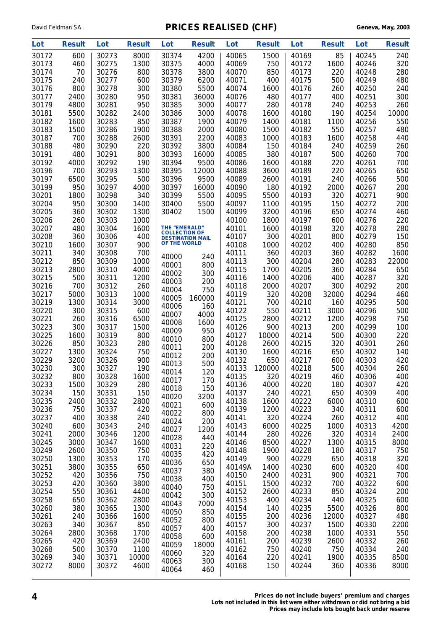| Lot            | <b>Result</b> | Lot            | <b>Result</b> | Lot                                             | <b>Result</b> | Lot            | <b>Result</b> | Lot            | <b>Result</b> | Lot            | <b>Result</b> |
|----------------|---------------|----------------|---------------|-------------------------------------------------|---------------|----------------|---------------|----------------|---------------|----------------|---------------|
| 30172          | 600           | 30273          | 8000          | 30374                                           | 4200          | 40065          | 1500          | 40169          | 85            | 40245          | 240           |
| 30173          | 460           | 30275          | 1300          | 30375                                           | 4000          | 40069          | 750           | 40172          | 1600          | 40246          | 320           |
| 30174          | 70            | 30276          | 800           | 30378                                           | 3800          | 40070          | 850           | 40173          | 220           | 40248          | 280           |
| 30175          | 240           | 30277          | 600           | 30379                                           | 6200          | 40071          | 400           | 40175          | 500           | 40249          | 480           |
| 30176          | 800           | 30278          | 300           | 30380                                           | 5500          | 40074          | 1600          | 40176          | 260           | 40250          | 240           |
| 30177          | 2400          | 30280          | 950           | 30381                                           | 36000         | 40076          | 480           | 40177          | 400           | 40251          | 300           |
| 30179          | 4800          | 30281          | 950           | 30385                                           | 3000          | 40077          | 280           | 40178          | 240           | 40253          | 260           |
| 30181          | 5500          | 30282          | 2400          | 30386                                           | 3000          | 40078          | 1600          | 40180          | 190           | 40254          | 10000         |
| 30182          | 1600          | 30283          | 850           | 30387                                           | 1900          | 40079          | 1400          | 40181          | 1100          | 40256          | 550           |
| 30183          | 1500          | 30286          | 1900          | 30388                                           | 2000          | 40080          | 1500          | 40182          | 550           | 40257          | 480           |
| 30187          | 700           | 30288          | 2600          | 30391                                           | 2200          | 40083          | 1000          | 40183          | 1600          | 40258          | 440           |
| 30188          | 480           | 30290          | 220           | 30392                                           | 3800          | 40084          | 150           | 40184          | 240           | 40259          | 260           |
| 30191          | 480           | 30291          | 800           | 30393                                           | 16000         | 40085          | 380           | 40187          | 500           | 40260          | 700           |
| 30192          | 4000          | 30292          | 190           | 30394                                           | 9500          | 40086          | 1600          | 40188          | 220           | 40261          | 700           |
| 30196          | 700           | 30293          | 1300          | 30395                                           | 12000         | 40088          | 3600          | 40189          | 220           | 40265          | 650           |
| 30197          | 6500          | 30295          | 500           | 30396                                           | 9500          | 40089          | 2600          | 40191          | 240           | 40266          | 500           |
| 30199          | 950           | 30297          | 4000          | 30397                                           | 16000         | 40090          | 180           | 40192          | 2000          | 40267          | 200           |
| 30201          | 1800          | 30298          | 340           | 30399                                           | 5500          | 40095          | 5500          | 40193          | 320           | 40271          | 900           |
| 30204          | 950           | 30300          | 1400          | 30400                                           | 5500          | 40097          | 1100          | 40195          | 150           | 40272          | 200           |
| 30205          | 360           | 30302          | 1300          | 30402                                           | 1500          | 40099          | 3200          | 40196          | 650           | 40274          | 460           |
| 30206          | 260           | 30303          | 1000          |                                                 |               | 40100          | 1800          | 40197          | 600           | 40276          | 220           |
| 30207          | 480           | 30304          | 1600          | <b>THE "EMERALD"</b>                            |               | 40101          | 1600          | 40198          | 320           | 40278          | 280           |
| 30208          | 360           | 30306          | 400           | <b>COLLECTION OF</b><br><b>DESTINATION MAIL</b> |               | 40107          | 300           | 40201          | 800           | 40279          | 150           |
| 30210          | 1600          | 30307          | 900           | OF THE WORLD                                    |               | 40108          | 1000          | 40202          | 400           | 40280          | 850           |
| 30211          | 340           | 30308          | 700           | 40000                                           | 240           | 40111          | 360           | 40203          | 360           | 40282          | 1600          |
| 30212          | 850           | 30309          | 1000          | 40001                                           | 800           | 40113          | 300           | 40204          | 280           | 40283          | 22000         |
| 30213          | 2800          | 30310          | 4000          | 40002                                           | 300           | 40115          | 1700          | 40205          | 360           | 40284          | 650           |
| 30215          | 500           | 30311          | 1200          | 40003                                           | 200           | 40116          | 1400          | 40206          | 400           | 40287          | 320           |
| 30216          | 700           | 30312          | 260           | 40004                                           | 750           | 40118          | 2000          | 40207          | 300           | 40292          | 200           |
| 30217          | 5000          | 30313          | 1000          | 40005                                           | 160000        | 40119          | 320           | 40208          | 32000         | 40294          | 460           |
| 30219          | 1300          | 30314          | 3000          | 40006                                           | 160           | 40121          | 700           | 40210          | 160           | 40295          | 500           |
| 30220          | 300           | 30315          | 600           | 40007                                           | 4000          | 40122          | 550           | 40211          | 3000          | 40296          | 500           |
| 30221          | 260           | 30316          | 6500          | 40008                                           | 1600          | 40125          | 2800          | 40212          | 1200          | 40298          | 750           |
| 30223          | 300           | 30317          | 1500          | 40009                                           | 950           | 40126          | 900           | 40213          | 200           | 40299          | 100           |
| 30225          | 1600          | 30319          | 800           | 40010                                           | 800           | 40127          | 10000         | 40214          | 500           | 40300          | 220           |
| 30226          | 850           | 30323          | 280           | 40011                                           | 200           | 40128          | 2600          | 40215          | 320           | 40301          | 260           |
| 30227          | 1300          | 30324          | 750           | 40012                                           | 200           | 40130          | 1600          | 40216          | 650           | 40302          | 140           |
| 30229          | 3200          | 30326          | 900           | 40013                                           | 500           | 40132          | 650           | 40217          | 600           | 40303          | 420           |
| 30230          | 300           | 30327          | 190           | 40014                                           | 120           | 40133          | 120000        | 40218          | 500           | 40304          | 260           |
| 30232          | 800           | 30328          | 1600          | 40017                                           | 170           | 40135          | 320           | 40219          | 460           | 40306          | 400           |
| 30233          | 1500          | 30329          | 280           | 40018                                           | 150           | 40136          | 4000          | 40220          | 180           | 40307          | 420           |
| 30234          | 150           | 30331          | 150           | 40020                                           | 3200          | 40137          | 240           | 40221          | 650           | 40309          | 400           |
| 30235          | 2400          | 30332          | 2800          | 40021                                           | 600           | 40138          | 1600          | 40222          | 6000          | 40310<br>40311 | 600           |
| 30236<br>30237 | 750<br>400    | 30337<br>30338 | 420<br>240    | 40022                                           | 800           | 40139<br>40141 | 1200<br>320   | 40223<br>40224 | 340<br>260    | 40312          | 600<br>400    |
| 30240          | 600           | 30343          | 240           | 40024                                           | 200           | 40143          | 6000          | 40225          | 1000          | 40313          | 4200          |
| 30241          | 2000          | 30346          | 1200          | 40027                                           | 1200          | 40144          | 280           | 40226          | 320           | 40314          | 2400          |
| 30245          | 3000          | 30347          | 1600          | 40028                                           | 440           | 40146          | 8500          | 40227          | 1300          | 40315          | 8000          |
| 30249          | 2600          | 30350          | 750           | 40031                                           | 220           | 40148          | 1900          | 40228          | 180           | 40317          | 750           |
| 30250          | 1300          | 30353          | 170           | 40035                                           | 420           | 40149          | 900           | 40229          | 650           | 40318          | 320           |
| 30251          | 3800          | 30355          | 650           | 40036                                           | 650           | 40149A         | 1400          | 40230          | 600           | 40320          | 400           |
| 30252          | 420           | 30356          | 750           | 40037                                           | 380           | 40150          | 2400          | 40231          | 900           | 40321          | 700           |
| 30253          | 420           | 30360          | 3800          | 40038                                           | 400           | 40151          | 1500          | 40232          | 700           | 40322          | 600           |
| 30254          | 550           | 30361          | 4400          | 40040                                           | 750           | 40152          | 2600          | 40233          | 850           | 40324          | 200           |
| 30258          | 650           | 30362          | 2800          | 40042                                           | 300           | 40153          | 400           | 40234          | 440           | 40325          | 600           |
| 30260          | 380           | 30365          | 1300          | 40043                                           | 7000          | 40154          | 140           | 40235          | 5500          | 40326          | 800           |
| 30261          | 240           | 30366          | 1600          | 40050                                           | 850           | 40155          | 200           | 40236          | 12000         | 40327          | 480           |
| 30263          | 340           | 30367          | 850           | 40052                                           | 800           | 40157          | 300           | 40237          | 1500          | 40330          | 2200          |
| 30264          | 2800          | 30368          | 1700          | 40057                                           | 400           | 40158          | 200           | 40238          | 1000          | 40331          | 550           |
| 30265          | 420           | 30369          | 2400          | 40058                                           | 600           | 40161          | 200           | 40239          | 2600          | 40332          | 260           |
| 30268          | 500           | 30370          | 1100          | 40059                                           | 18000         | 40162          | 750           | 40240          | 750           | 40334          | 240           |
| 30269          | 340           | 30371          | 10000         | 40060                                           | 320           | 40164          | 220           | 40241          | 1900          | 40335          | 8500          |
| 30272          | 8000          | 30372          | 4600          | 40063                                           | 300           | 40168          | 150           | 40244          | 360           | 40336          | 8000          |
|                |               |                |               | 40064                                           | 460           |                |               |                |               |                |               |

**4 Prices do not include buyers' premium and charges Lots not included in this list were either withdrawn or did not bring a bid**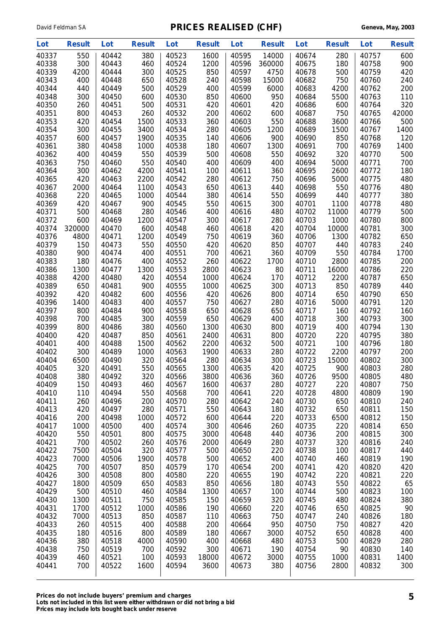| Lot            | <b>Result</b> | Lot            | <b>Result</b> | Lot            | <b>Result</b> | Lot            | <b>Result</b> | Lot            | <b>Result</b> | Lot            | <b>Result</b> |
|----------------|---------------|----------------|---------------|----------------|---------------|----------------|---------------|----------------|---------------|----------------|---------------|
| 40337          | 550           | 40442          | 380           | 40523          | 1600          | 40595          | 14000         | 40674          | 280           | 40757          | 600           |
| 40338          | 300           | 40443          | 460           | 40524          | 1200          | 40596          | 360000        | 40675          | 180           | 40758          | 900           |
| 40339          | 4200          | 40444          | 300           | 40525          | 850           | 40597          | 4750          | 40678          | 500           | 40759          | 420           |
| 40343          | 400           | 40448          | 650           | 40528          | 240           | 40598          | 15000         | 40682          | 750           | 40760          | 240           |
| 40344          | 440           | 40449          | 500           | 40529          | 400           | 40599          | 6000          | 40683          | 4200          | 40762          | 200           |
| 40348          | 300           | 40450          | 600           | 40530          | 850           | 40600          | 950           | 40684          | 5500          | 40763          | 110           |
| 40350          | 260           | 40451          | 500           | 40531          | 420           | 40601          | 420           | 40686          | 600           | 40764          | 320           |
| 40351          | 800           | 40453          | 260           | 40532          | 200           | 40602          | 600           | 40687          | 750           | 40765          | 42000         |
| 40353          | 420           | 40454          | 1500          | 40533          | 360           | 40603          | 550           | 40688          | 3600          | 40766          | 500           |
| 40354          | 300           | 40455          | 3400          | 40534          | 280           | 40605          | 1200          | 40689          | 1500          | 40767          | 1400          |
| 40357          | 600           | 40457          | 1900          | 40535          | 140           | 40606          | 900           | 40690          | 850           | 40768          | 120           |
| 40361          | 380           | 40458          | 1000          | 40538          | 180           | 40607          | 1300          | 40691          | 700           | 40769          | 1400          |
| 40362          | 400           | 40459          | 550           | 40539          | 500           | 40608          | 550           | 40692          | 320           | 40770          | 500           |
| 40363          | 750           | 40460          | 550           | 40540          | 400           | 40609          | 400           | 40694          | 5000          | 40771          | 700           |
| 40364          | 300           | 40462          | 4200          | 40541          | 100           | 40611          | 360           | 40695          | 2600          | 40772          | 180           |
| 40365          | 420           | 40463          | 2200          | 40542          | 280           | 40612          | 750           | 40696          | 5000          | 40775          | 480           |
| 40367          | 2000          | 40464          | 1100          | 40543          | 650           | 40613          | 440           | 40698          | 550           | 40776          | 480           |
| 40368          | 220           | 40465          | 1000          | 40544          | 380           | 40614          | 550           | 40699          | 440           | 40777          | 380           |
| 40369          | 420           | 40467          | 900           | 40545          | 550           | 40615          | 300           | 40701          | 1100          | 40778          | 480           |
| 40371          | 500           | 40468          | 280           | 40546          | 400           | 40616          | 480           | 40702          | 11000         | 40779          | 500           |
| 40372          | 600           | 40469          | 1200          | 40547          | 300           | 40617          | 280           | 40703          | 1000          | 40780          | 800           |
| 40374          | 320000        | 40470          | 600           | 40548          | 460           | 40618          | 420           | 40704          | 10000         | 40781          | 300           |
| 40376          | 4800          | 40471          | 1200          | 40549          | 750           | 40619          | 360           | 40706          | 1300          | 40782          | 650           |
| 40379          | 150           | 40473          | 550           | 40550          | 420           | 40620          | 850           | 40707          | 440           | 40783          | 240           |
| 40380          | 900           | 40474          | 400           | 40551          | 700           | 40621          | 360           | 40709          | 550           | 40784          | 1700          |
| 40383          | 180           | 40476          | 400           | 40552          | 260           | 40622          | 1700          | 40710          | 2800          | 40785          | 200           |
| 40386          | 1300          | 40477          | 1300          | 40553          | 2800          | 40623          | 80            | 40711          | 16000         | 40786          | 220           |
| 40388          | 4200          | 40480          | 420           | 40554          | 1000          | 40624          | 170           | 40712          | 2200          | 40787          | 650           |
| 40389<br>40392 | 650<br>420    | 40481<br>40482 | 900<br>600    | 40555<br>40556 | 1000<br>420   | 40625<br>40626 | 300<br>800    | 40713<br>40714 | 850<br>650    | 40789<br>40790 | 440           |
| 40396          | 1400          | 40483          | 400           | 40557          | 750           | 40627          | 280           | 40716          | 5000          | 40791          | 650<br>120    |
| 40397          | 800           | 40484          | 900           | 40558          | 650           | 40628          | 650           | 40717          | 160           | 40792          | 160           |
| 40398          | 700           | 40485          | 300           | 40559          | 650           | 40629          | 400           | 40718          | 300           | 40793          | 300           |
| 40399          | 800           | 40486          | 380           | 40560          | 1300          | 40630          | 800           | 40719          | 400           | 40794          | 130           |
| 40400          | 420           | 40487          | 850           | 40561          | 2400          | 40631          | 800           | 40720          | 220           | 40795          | 380           |
| 40401          | 400           | 40488          | 1500          | 40562          | 2200          | 40632          | 500           | 40721          | 100           | 40796          | 180           |
| 40402          | 300           | 40489          | 1000          | 40563          | 1900          | 40633          | 280           | 40722          | 2200          | 40797          | 200           |
| 40404          | 6500          | 40490          | 320           | 40564          | 280           | 40634          | 300           | 40723          | 15000         | 40802          | 300           |
| 40405          | 320           | 40491          | 550           | 40565          | 1300          | 40635          | 420           | 40725          | 900           | 40803          | 280           |
| 40408          | 380           | 40492          | 320           | 40566          | 3800          | 40636          | 360           | 40726          | 9500          | 40805          | 480           |
| 40409          | 150           | 40493          | 460           | 40567          | 1600          | 40637          | 280           | 40727          | 220           | 40807          | 750           |
| 40410          | 110           | 40494          | 550           | 40568          | 700           | 40641          | 220           | 40728          | 4800          | 40809          | 190           |
| 40411          | 260           | 40496          | 200           | 40570          | 280           | 40642          | 240           | 40730          | 650           | 40810          | 240           |
| 40413          | 420           | 40497          | 280           | 40571          | 550           | 40643          | 180           | 40732          | 650           | 40811          | 150           |
| 40416          | 200           | 40498          | 1000          | 40572          | 600           | 40644          | 220           | 40733          | 6500          | 40812          | 150           |
| 40417          | 1000          | 40500          | 400           | 40574          | 300           | 40646          | 260           | 40735          | 220           | 40814          | 650           |
| 40420          | 550           | 40501          | 800           | 40575          | 3000          | 40648          | 440           | 40736          | 200           | 40815          | 300           |
| 40421          | 700           | 40502          | 260           | 40576          | 2000          | 40649          | 280           | 40737          | 320           | 40816          | 240           |
| 40422          | 7500          | 40504          | 320           | 40577          | 500           | 40650          | 220           | 40738          | 100           | 40817          | 440           |
| 40423          | 7000          | 40506          | 1900          | 40578          | 500           | 40652          | 400           | 40740          | 460           | 40819          | 190           |
| 40425          | 700           | 40507          | 850           | 40579          | 170           | 40654          | 200           | 40741          | 420           | 40820          | 420           |
| 40426          | 300           | 40508          | 800           | 40580          | 220           | 40655          | 190           | 40742          | 220           | 40821          | 220           |
| 40427          | 1800          | 40509          | 650           | 40583          | 850           | 40656          | 180           | 40743          | 550           | 40822          | 65            |
| 40429          | 500           | 40510          | 460           | 40584          | 1300          | 40657          | 100           | 40744          | 500           | 40823          | 100           |
| 40430          | 1300          | 40511          | 750           | 40585          | 150           | 40659          | 320           | 40745          | 480           | 40824          | 380           |
| 40431          | 1700          | 40512          | 1000          | 40586          | 190           | 40660          | 220           | 40746          | 650           | 40825          | 90            |
| 40432          | 7000          | 40513          | 850           | 40587          | 110           | 40663          | 750           | 40747          | 240           | 40826          | 180           |
| 40433          | 260           | 40515          | 400           | 40588          | 200           | 40664          | 950           | 40750          | 750           | 40827          | 420           |
| 40435          | 180           | 40516          | 800           | 40589          | 180           | 40667          | 3000          | 40752          | 650           | 40828          | 400           |
| 40436          | 380           | 40518          | 4000          | 40590          | 400           | 40668          | 480           | 40753          | 500           | 40829          | 280           |
| 40438          | 750           | 40519          | 700           | 40592          | 300           | 40671          | 190           | 40754          | 90            | 40830          | 140           |
| 40439          | 460           | 40521          | 100           | 40593          | 18000         | 40672          | 3000          | 40755          | 1000          | 40831          | 1400          |
| 40441          | 700           | 40522          | 1600          | 40594          | 3600          | 40673          | 380           | 40756          | 2800          | 40832          | 300           |
|                |               |                |               |                |               |                |               |                |               |                |               |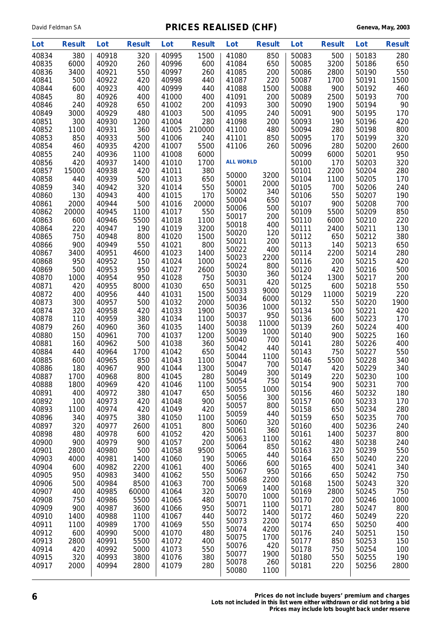| Lot            | <b>Result</b> | Lot            | <b>Result</b> | Lot            | <b>Result</b> | Lot              | <b>Result</b> | Lot            | <b>Result</b> | Lot            | <b>Result</b> |
|----------------|---------------|----------------|---------------|----------------|---------------|------------------|---------------|----------------|---------------|----------------|---------------|
| 40834          | 380           | 40918          | 320           | 40995          | 1500          | 41080            | 850           | 50083          | 500           | 50183          | 280           |
| 40835          | 6000          | 40920          | 260           | 40996          | 600           | 41084            | 650           | 50085          | 3200          | 50186          | 650           |
| 40836          | 3400          | 40921          | 550           | 40997          | 260           | 41085            | 200           | 50086          | 2800          | 50190          | 550           |
| 40841          | 500           | 40922          | 420           | 40998          | 440           | 41087            | 220           | 50087          | 1700          | 50191          | 1500          |
| 40844          | 600           | 40923          | 400           | 40999          | 440           | 41088            | 1500          | 50088          | 900           | 50192          | 460           |
| 40845          | 80            | 40926          | 400           | 41000          | 400           | 41091            | 200           | 50089          | 2500          | 50193          | 700           |
| 40846          | 240           | 40928          | 650           | 41002          | 200           | 41093            | 300           | 50090          | 1900          | 50194          | 90            |
| 40849          | 3000          | 40929          | 480           | 41003          | 500           | 41095            | 240           | 50091          | 900           | 50195          | 170           |
| 40851          | 300           | 40930          | 1200          | 41004          | 280           | 41098            | 200           | 50093          | 190           | 50196<br>50198 | 420           |
| 40852<br>40853 | 1100          | 40931          | 360           | 41005          | 210000        | 41100            | 480           | 50094          | 280           |                | 800           |
| 40854          | 850<br>460    | 40933<br>40935 | 500<br>4200   | 41006<br>41007 | 240<br>5500   | 41101<br>41106   | 850<br>260    | 50095<br>50096 | 170<br>280    | 50199<br>50200 | 320<br>2600   |
| 40855          | 240           | 40936          | 1100          | 41008          | 6000          |                  |               | 50099          | 6000          | 50201          | 950           |
| 40856          | 420           | 40937          | 1400          | 41010          | 1700          | <b>ALL WORLD</b> |               | 50100          | 170           | 50203          | 320           |
| 40857          | 15000         | 40938          | 420           | 41011          | 380           |                  |               | 50101          | 2200          | 50204          | 280           |
| 40858          | 440           | 40939          | 500           | 41013          | 650           | 50000            | 3200          | 50104          | 1100          | 50205          | 170           |
| 40859          | 340           | 40942          | 320           | 41014          | 550           | 50001            | 2000          | 50105          | 700           | 50206          | 240           |
| 40860          | 130           | 40943          | 400           | 41015          | 170           | 50002            | 340           | 50106          | 550           | 50207          | 190           |
| 40861          | 2000          | 40944          | 500           | 41016          | 20000         | 50004            | 650           | 50107          | 900           | 50208          | 700           |
| 40862          | 20000         | 40945          | 1100          | 41017          | 550           | 50006<br>50017   | 500<br>200    | 50109          | 5500          | 50209          | 850           |
| 40863          | 600           | 40946          | 5500          | 41018          | 1100          | 50018            | 400           | 50110          | 6000          | 50210          | 220           |
| 40864          | 220           | 40947          | 190           | 41019          | 3200          | 50020            | 120           | 50111          | 2400          | 50211          | 130           |
| 40865          | 750           | 40948          | 800           | 41020          | 1500          | 50021            | 200           | 50112          | 650           | 50212          | 380           |
| 40866          | 900           | 40949          | 550           | 41021          | 800           | 50022            | 400           | 50113          | 140           | 50213          | 650           |
| 40867          | 3400          | 40951          | 4600          | 41023          | 1400          | 50023            | 2200          | 50114          | 2200          | 50214          | 280           |
| 40868          | 950           | 40952          | 150           | 41024          | 1000          | 50024            | 800           | 50116          | 200           | 50215          | 420           |
| 40869<br>40870 | 500<br>1000   | 40953<br>40954 | 950<br>950    | 41027<br>41028 | 2600<br>750   | 50030            | 360           | 50120<br>50124 | 420<br>1300   | 50216<br>50217 | 500<br>200    |
| 40871          | 420           | 40955          | 8000          | 41030          | 650           | 50031            | 420           | 50125          | 600           | 50218          | 550           |
| 40872          | 400           | 40956          | 440           | 41031          | 1500          | 50033            | 9000          | 50129          | 11000         | 50219          | 220           |
| 40873          | 300           | 40957          | 500           | 41032          | 2000          | 50034            | 6000          | 50132          | 550           | 50220          | 1900          |
| 40874          | 320           | 40958          | 420           | 41033          | 1900          | 50036            | 1000          | 50134          | 500           | 50221          | 420           |
| 40878          | 110           | 40959          | 380           | 41034          | 1100          | 50037            | 950           | 50136          | 600           | 50223          | 170           |
| 40879          | 260           | 40960          | 360           | 41035          | 1400          | 50038            | 11000         | 50139          | 260           | 50224          | 400           |
| 40880          | 150           | 40961          | 700           | 41037          | 1200          | 50039            | 1000          | 50140          | 900           | 50225          | 160           |
| 40881          | 160           | 40962          | 500           | 41038          | 360           | 50040            | 700           | 50141          | 280           | 50226          | 400           |
| 40884          | 440           | 40964          | 1700          | 41042          | 650           | 50042<br>50044   | 440<br>1100   | 50143          | 750           | 50227          | 550           |
| 40885          | 600           | 40965          | 850           | 41043          | 1100          | 50047            | 700           | 50146          | 5500          | 50228          | 340           |
| 40886          | 180           | 40967          | 900           | 41044          | 1300          | 50049            | 300           | 50147          | 420           | 50229          | 340           |
| 40887          | 1700          | 40968          | 800           | 41045          | 280           | 50054            | 750           | 50149          | 220           | 50230          | 100           |
| 40888          | 1800          | 40969          | 420           | 41046          | 1100          | 50055            | 1000          | 50154          | 900           | 50231          | 700           |
| 40891          | 400           | 40972          | 380           | 41047          | 650           | 50056            | 300           | 50156          | 460           | 50232          | 180           |
| 40892<br>40893 | 100<br>1100   | 40973<br>40974 | 420<br>420    | 41048<br>41049 | 900<br>420    | 50057            | 800           | 50157<br>50158 | 600<br>650    | 50233<br>50234 | 170<br>280    |
| 40896          | 340           | 40975          | 380           | 41050          | 1100          | 50059            | 440           | 50159          | 650           | 50235          | 700           |
| 40897          | 320           | 40977          | 2600          | 41051          | 800           | 50060            | 320           | 50160          | 400           | 50236          | 240           |
| 40898          | 480           | 40978          | 600           | 41052          | 420           | 50061            | 360           | 50161          | 1400          | 50237          | 800           |
| 40900          | 900           | 40979          | 900           | 41057          | 200           | 50063            | 1100          | 50162          | 480           | 50238          | 240           |
| 40901          | 2800          | 40980          | 500           | 41058          | 9500          | 50064            | 850           | 50163          | 320           | 50239          | 550           |
| 40903          | 4000          | 40981          | 1400          | 41060          | 190           | 50065            | 440           | 50164          | 650           | 50240          | 220           |
| 40904          | 600           | 40982          | 2200          | 41061          | 400           | 50066            | 600           | 50165          | 400           | 50241          | 340           |
| 40905          | 950           | 40983          | 3400          | 41062          | 550           | 50067<br>50068   | 950<br>2200   | 50166          | 650           | 50242          | 750           |
| 40906          | 500           | 40984          | 8500          | 41063          | 700           | 50069            | 1400          | 50168          | 1500          | 50243          | 320           |
| 40907          | 400           | 40985          | 60000         | 41064          | 320           | 50070            | 1000          | 50169          | 2800          | 50245          | 750           |
| 40908          | 750           | 40986          | 5500          | 41065          | 480           | 50071            | 1100          | 50170          | 200           | 50246          | 1000          |
| 40909          | 900           | 40987          | 3600          | 41066          | 950           | 50072            | 1400          | 50171          | 280           | 50247          | 800           |
| 40910          | 1400          | 40988          | 1100          | 41067          | 440           | 50073            | 2200          | 50172          | 460           | 50249          | 220           |
| 40911<br>40912 | 1100<br>600   | 40989<br>40990 | 1700<br>5000  | 41069<br>41070 | 550<br>480    | 50074            | 4200          | 50174<br>50176 | 650<br>240    | 50250<br>50251 | 400           |
| 40913          | 2800          | 40991          | 5500          | 41072          | 400           | 50075            | 1700          | 50177          | 850           | 50253          | 150<br>150    |
| 40914          | 420           | 40992          | 5000          | 41073          | 550           | 50076            | 420           | 50178          | 750           | 50254          | 100           |
| 40915          | 320           | 40993          | 3800          | 41076          | 380           | 50077            | 1900          | 50180          | 550           | 50255          | 190           |
| 40917          | 2000          | 40994          | 2800          | 41079          | 280           | 50078            | 260           | 50181          | 220           | 50256          | 2800          |
|                |               |                |               |                |               | 50080            | 1100          |                |               |                |               |

**6 Prices do not include buyers' premium and charges Lots not included in this list were either withdrawn or did not bring a bid Prices may include lots bought back under reserve**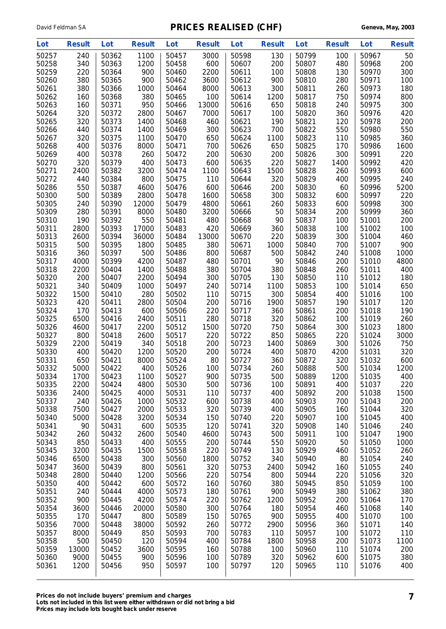| Lot            | <b>Result</b> | Lot            | <b>Result</b> | Lot            | <b>Result</b> | Lot            | <b>Result</b> | Lot            | <b>Result</b> | Lot            | <b>Result</b> |
|----------------|---------------|----------------|---------------|----------------|---------------|----------------|---------------|----------------|---------------|----------------|---------------|
| 50257          | 240           | 50362          | 1100          | 50457          | 3000          | 50598          | 130           | 50799          | 100           | 50967          | 50            |
| 50258          | 340           | 50363          | 1200          | 50458          | 600           | 50607          | 200           | 50807          | 480           | 50968          | 200           |
| 50259          | 220           | 50364          | 900           | 50460          | 2200          | 50611          | 100           | 50808          | 130           | 50970          | 300           |
| 50260          | 380           | 50365          | 900           | 50462          | 3600          | 50612          | 900           | 50810          | 280           | 50971          | 100           |
| 50261          | 380           | 50366          | 1000          | 50464          | 8000          | 50613          | 300           | 50811          | 260           | 50973          | 180           |
| 50262          | 160           | 50368          | 380           | 50465          | 100           | 50614          | 1200          | 50817          | 750           | 50974          | 800           |
| 50263          | 160           | 50371          | 950           | 50466          | 13000         | 50616          | 650           | 50818          | 240           | 50975          | 300           |
| 50264          | 320           | 50372          | 2800          | 50467          | 7000          | 50617          | 100           | 50820          | 360           | 50976          | 420           |
| 50265          | 320           | 50373          | 1400          | 50468          | 460           | 50621          | 190           | 50821          | 120           | 50978          | 200           |
| 50266          | 440           | 50374          | 1400          | 50469          | 300           | 50623<br>50624 | 700           | 50822          | 550           | 50980          | 550           |
| 50267<br>50268 | 320<br>400    | 50375<br>50376 | 1100<br>8000  | 50470<br>50471 | 650<br>700    | 50626          | 1100<br>650   | 50823<br>50825 | 110<br>170    | 50985<br>50986 | 360<br>1600   |
| 50269          | 400           | 50378          | 260           | 50472          | 200           | 50630          | 200           | 50826          | 300           | 50991          | 220           |
| 50270          | 320           | 50379          | 400           | 50473          | 600           | 50635          | 220           | 50827          | 1400          | 50992          | 420           |
| 50271          | 2400          | 50382          | 3200          | 50474          | 1100          | 50643          | 1500          | 50828          | 260           | 50993          | 600           |
| 50272          | 440           | 50384          | 800           | 50475          | 110           | 50644          | 320           | 50829          | 400           | 50995          | 240           |
| 50286          | 550           | 50387          | 4600          | 50476          | 600           | 50646          | 200           | 50830          | 60            | 50996          | 5200          |
| 50300          | 500           | 50389          | 2800          | 50478          | 1600          | 50658          | 300           | 50832          | 600           | 50997          | 220           |
| 50305          | 240           | 50390          | 12000         | 50479          | 4800          | 50661          | 260           | 50833          | 600           | 50998          | 300           |
| 50309          | 280           | 50391          | 8000          | 50480          | 3200          | 50666          | 50            | 50834          | 200           | 50999          | 360           |
| 50310          | 190           | 50392          | 550           | 50481          | 480           | 50668          | 90            | 50837          | 100           | 51001          | 200           |
| 50311          | 2800          | 50393          | 17000         | 50483          | 420           | 50669          | 360           | 50838          | 100           | 51002          | 100           |
| 50313          | 2600          | 50394          | 36000         | 50484          | 13000         | 50670          | 220           | 50839          | 300           | 51004          | 460           |
| 50315          | 500           | 50395          | 1800          | 50485          | 380           | 50671          | 1000          | 50840          | 700           | 51007          | 900           |
| 50316          | 360           | 50397          | 500           | 50486          | 800           | 50687          | 500           | 50842          | 240           | 51008          | 1000          |
| 50317          | 4000          | 50399          | 4200          | 50487          | 480           | 50701          | 90            | 50846          | 200           | 51010          | 4800          |
| 50318          | 2200          | 50404          | 1400          | 50488          | 380           | 50704          | 380           | 50848          | 260           | 51011          | 400           |
| 50320          | 200           | 50407          | 2200          | 50494          | 300           | 50705          | 130           | 50850          | 110           | 51012          | 180           |
| 50321          | 340           | 50409          | 1000          | 50497          | 240           | 50714          | 1100          | 50853          | 100           | 51014          | 650           |
| 50322          | 1500          | 50410          | 280           | 50502          | 110           | 50715          | 300           | 50854          | 400           | 51016          | 100           |
| 50323<br>50324 | 420<br>170    | 50411<br>50413 | 2800<br>600   | 50504<br>50506 | 200<br>220    | 50716<br>50717 | 1900<br>360   | 50857<br>50861 | 190<br>200    | 51017<br>51018 | 120<br>190    |
| 50325          | 6500          | 50416          | 2400          | 50511          | 280           | 50718          | 320           | 50862          | 100           | 51019          | 260           |
| 50326          | 4600          | 50417          | 2200          | 50512          | 1500          | 50720          | 750           | 50864          | 300           | 51023          | 1800          |
| 50327          | 800           | 50418          | 2600          | 50517          | 220           | 50722          | 850           | 50865          | 220           | 51024          | 3000          |
| 50329          | 2200          | 50419          | 340           | 50518          | 200           | 50723          | 1400          | 50869          | 300           | 51026          | 750           |
| 50330          | 400           | 50420          | 1200          | 50520          | 200           | 50724          | 400           | 50870          | 4200          | 51031          | 320           |
| 50331          | 650           | 50421          | 8000          | 50524          | 80            | 50727          | 360           | 50872          | 320           | 51032          | 600           |
| 50332          | 5000          | 50422          | 400           | 50526          | 100           | 50734          | 260           | 50888          | 500           | 51034          | 1200          |
| 50334          | 1700          | 50423          | 1100          | 50527          | 900           | 50735          | 500           | 50889          | 1200          | 51035          | 400           |
| 50335          | 2200          | 50424          | 4800          | 50530          | 500           | 50736          | 100           | 50891          | 400           | 51037          | 220           |
| 50336          | 2400          | 50425          | 4000          | 50531          | 110           | 50737          | 400           | 50892          | 200           | 51038          | 1500          |
| 50337          | 240           | 50426          | 1000          | 50532          | 600           | 50738          | 400           | 50903          | 700           | 51043          | 200           |
| 50338          | 7500          | 50427          | 2000          | 50533          | 320           | 50739          | 400           | 50905          | 160           | 51044          | 320           |
| 50340          | 5000          | 50428          | 3200          | 50534          | 150           | 50740          | 220           | 50907          | 100           | 51045          | 400           |
| 50341          | 90            | 50431          | 600           | 50535          | 120           | 50741          | 320           | 50908          | 140           | 51046          | 240           |
| 50342          | 260           | 50432          | 2600          | 50540          | 4600          | 50743          | 500           | 50911          | 100           | 51047          | 1900          |
| 50343          | 850           | 50433          | 400           | 50555          | 200           | 50744          | 550           | 50920          | 50            | 51050          | 1000          |
| 50345<br>50346 | 3200          | 50435<br>50438 | 1500<br>300   | 50558<br>50560 | 220           | 50749<br>50752 | 130           | 50929<br>50940 | 460           | 51052<br>51054 | 260           |
| 50347          | 6500<br>3600  | 50439          | 800           | 50561          | 1800<br>320   | 50753          | 340<br>2400   | 50942          | 80<br>160     | 51055          | 240<br>240    |
| 50348          | 2800          | 50440          | 1200          | 50566          | 220           | 50754          | 800           | 50944          | 220           | 51056          | 320           |
| 50350          | 400           | 50442          | 600           | 50572          | 160           | 50760          | 380           | 50945          | 850           | 51059          | 100           |
| 50351          | 240           | 50444          | 4000          | 50573          | 180           | 50761          | 900           | 50949          | 380           | 51062          | 380           |
| 50352          | 900           | 50445          | 4200          | 50574          | 220           | 50762          | 1200          | 50952          | 200           | 51064          | 170           |
| 50354          | 3600          | 50446          | 20000         | 50580          | 300           | 50764          | 180           | 50954          | 460           | 51068          | 140           |
| 50355          | 170           | 50447          | 800           | 50589          | 150           | 50765          | 900           | 50955          | 400           | 51070          | 100           |
| 50356          | 7000          | 50448          | 38000         | 50592          | 260           | 50772          | 2900          | 50956          | 360           | 51071          | 140           |
| 50357          | 8000          | 50449          | 850           | 50593          | 700           | 50783          | 110           | 50957          | 100           | 51072          | 110           |
| 50358          | 500           | 50450          | 120           | 50594          | 400           | 50784          | 1800          | 50958          | 200           | 51073          | 1100          |
| 50359          | 13000         | 50452          | 3600          | 50595          | 160           | 50788          | 100           | 50960          | 110           | 51074          | 200           |
| 50360          | 9000          | 50455          | 900           | 50596          | 100           | 50789          | 320           | 50962          | 600           | 51075          | 380           |
| 50361          | 1200          | 50456          | 950           | 50597          | 100           | 50797          | 120           | 50965          | 110           | 51076          | 400           |
|                |               |                |               |                |               |                |               |                |               |                |               |

**Prices do not include buyers' premium and charges 7 Lots not included in this list were either withdrawn or did not bring a bid Prices may include lots bought back under reserve**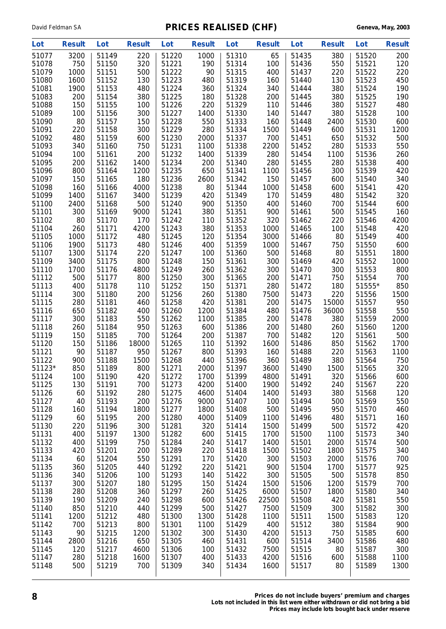| Lot            | <b>Result</b> | Lot            | <b>Result</b> | Lot            | <b>Result</b> | Lot            | <b>Result</b> | Lot            | <b>Result</b> | Lot            | <b>Result</b> |
|----------------|---------------|----------------|---------------|----------------|---------------|----------------|---------------|----------------|---------------|----------------|---------------|
| 51077          | 3200          | 51149          | 220           | 51220          | 1000          | 51310          | 65            | 51435          | 380           | 51520          | 200           |
| 51078          | 750           | 51150          | 320           | 51221          | 190           | 51314          | 100           | 51436          | 550           | 51521          | 120           |
| 51079          | 1000          | 51151          | 500           | 51222          | 90            | 51315          | 400           | 51437          | 220           | 51522          | 220           |
| 51080          | 1600          | 51152          | 130           | 51223          | 480           | 51319          | 160           | 51440          | 130           | 51523          | 450           |
| 51081          | 1900          | 51153          | 480           | 51224          | 360           | 51324          | 340           | 51444          | 380           | 51524          | 190           |
| 51083          | 200           | 51154          | 380           | 51225          | 180           | 51328          | 200           | 51445          | 380           | 51525          | 190           |
| 51088          | 150           | 51155          | 100           | 51226          | 220           | 51329          | 110           | 51446          | 380           | 51527          | 480           |
| 51089          | 100           | 51156          | 300           | 51227          | 1400          | 51330          | 140           | 51447          | 380           | 51528          | 100           |
| 51090          | 80            | 51157          | 150           | 51228          | 550           | 51333          | 160           | 51448          | 2400          | 51530          | 600           |
| 51091          | 220           | 51158<br>51159 | 300           | 51229          | 280           | 51334          | 1500          | 51449          | 600           | 51531          | 1200          |
| 51092<br>51093 | 480<br>340    | 51160          | 600<br>750    | 51230<br>51231 | 2000<br>1100  | 51337<br>51338 | 700<br>2200   | 51451<br>51452 | 650<br>280    | 51532<br>51533 | 500<br>550    |
| 51094          | 100           | 51161          | 200           | 51232          | 1400          | 51339          | 280           | 51454          | 1100          | 51536          | 260           |
| 51095          | 200           | 51162          | 1400          | 51234          | 200           | 51340          | 280           | 51455          | 280           | 51538          | 400           |
| 51096          | 800           | 51164          | 1200          | 51235          | 650           | 51341          | 1100          | 51456          | 300           | 51539          | 420           |
| 51097          | 150           | 51165          | 180           | 51236          | 2600          | 51342          | 150           | 51457          | 600           | 51540          | 340           |
| 51098          | 160           | 51166          | 4000          | 51238          | 80            | 51344          | 1000          | 51458          | 600           | 51541          | 420           |
| 51099          | 1400          | 51167          | 3400          | 51239          | 420           | 51349          | 170           | 51459          | 480           | 51542          | 320           |
| 51100          | 2400          | 51168          | 500           | 51240          | 900           | 51350          | 400           | 51460          | 700           | 51544          | 600           |
| 51101          | 300           | 51169          | 9000          | 51241          | 380           | 51351          | 900           | 51461          | 500           | 51545          | 160           |
| 51102          | 80            | 51170          | 170           | 51242          | 110           | 51352          | 320           | 51462          | 220           | 51546          | 4200          |
| 51104          | 260           | 51171          | 4200          | 51243          | 380           | 51353          | 1000          | 51465          | 100           | 51548          | 420           |
| 51105          | 1000          | 51172          | 480           | 51245          | 120           | 51354          | 3000          | 51466          | 80            | 51549          | 400           |
| 51106          | 1900          | 51173          | 480           | 51246          | 400           | 51359          | 1000          | 51467          | 750           | 51550          | 600           |
| 51107          | 1300          | 51174          | 220           | 51247          | 100           | 51360          | 500           | 51468          | 80            | 51551          | 1800          |
| 51109          | 3400          | 51175          | 800           | 51248          | 150           | 51361          | 300           | 51469          | 420           | 51552          | 1000          |
| 51110          | 1700          | 51176          | 4800          | 51249          | 260           | 51362          | 300           | 51470          | 300           | 51553          | 800           |
| 51112          | 500           | 51177          | 800           | 51250          | 300           | 51365          | 200           | 51471          | 750           | 51554          | 700           |
| 51113          | 400           | 51178          | 110           | 51252          | 150           | 51371          | 280           | 51472          | 180           | 51555*         | 850           |
| 51114<br>51115 | 300<br>280    | 51180<br>51181 | 200<br>460    | 51256<br>51258 | 260           | 51380<br>51381 | 7500<br>200   | 51473          | 220<br>15000  | 51556<br>51557 | 1500<br>950   |
| 51116          | 650           | 51182          | 400           | 51260          | 420<br>1200   | 51384          | 480           | 51475<br>51476 | 36000         | 51558          | 550           |
| 51117          | 300           | 51183          | 550           | 51262          | 1100          | 51385          | 200           | 51478          | 380           | 51559          | 2000          |
| 51118          | 260           | 51184          | 950           | 51263          | 600           | 51386          | 200           | 51480          | 260           | 51560          | 1200          |
| 51119          | 150           | 51185          | 700           | 51264          | 200           | 51387          | 700           | 51482          | 120           | 51561          | 500           |
| 51120          | 150           | 51186          | 18000         | 51265          | 110           | 51392          | 1600          | 51486          | 850           | 51562          | 1700          |
| 51121          | 90            | 51187          | 950           | 51267          | 800           | 51393          | 160           | 51488          | 220           | 51563          | 1100          |
| 51122          | 900           | 51188          | 1500          | 51268          | 440           | 51396          | 360           | 51489          | 380           | 51564          | 750           |
| 51123*         | 850           | 51189          | 800           | 51271          | 2000          | 51397          | 3600          | 51490          | 1500          | 51565          | 320           |
| 51124          | 100           | 51190          | 420           | 51272          | 1700          | 51399          | 4800          | 51491          | 320           | 51566          | 600           |
| 51125          | 130           | 51191          | 700           | 51273          | 4200          | 51400          | 1900          | 51492          | 240           | 51567          | 220           |
| 51126          | 60            | 51192          | 280           | 51275          | 4600          | 51404          | 1400          | 51493          | 380           | 51568          | 120           |
| 51127          | 40            | 51193          | 200           | 51276          | 9000          | 51407          | 100           | 51494          | 500           | 51569          | 550           |
| 51128          | 160           | 51194          | 1800          | 51277          | 1800          | 51408          | 500           | 51495          | 950           | 51570          | 460           |
| 51129          | 60            | 51195          | 200           | 51280          | 4000          | 51409          | 1100          | 51496          | 480           | 51571          | 160           |
| 51130<br>51131 | 220           | 51196<br>51197 | 300           | 51281          | 320           | 51414          | 1500          | 51499          | 500           | 51572          | 420           |
| 51132          | 400<br>400    | 51199          | 1300<br>750   | 51282<br>51284 | 600<br>240    | 51415<br>51417 | 1700<br>1400  | 51500<br>51501 | 1100<br>2000  | 51573<br>51574 | 340<br>500    |
| 51133          | 420           | 51201          | 200           | 51289          | 220           | 51418          | 1500          | 51502          | 1800          | 51575          | 340           |
| 51134          | 60            | 51204          | 550           | 51291          | 170           | 51420          | 300           | 51503          | 2000          | 51576          | 700           |
| 51135          | 360           | 51205          | 440           | 51292          | 220           | 51421          | 900           | 51504          | 1700          | 51577          | 925           |
| 51136          | 340           | 51206          | 100           | 51293          | 140           | 51422          | 300           | 51505          | 500           | 51578          | 850           |
| 51137          | 300           | 51207          | 180           | 51295          | 150           | 51424          | 1500          | 51506          | 1200          | 51579          | 700           |
| 51138          | 280           | 51208          | 360           | 51297          | 260           | 51425          | 6000          | 51507          | 1800          | 51580          | 340           |
| 51139          | 190           | 51209          | 240           | 51298          | 600           | 51426          | 22500         | 51508          | 420           | 51581          | 550           |
| 51140          | 850           | 51210          | 440           | 51299          | 500           | 51427          | 7500          | 51509          | 300           | 51582          | 300           |
| 51141          | 1200          | 51212          | 480           | 51300          | 1300          | 51428          | 1100          | 51511          | 1500          | 51583          | 120           |
| 51142          | 700           | 51213          | 800           | 51301          | 1100          | 51429          | 400           | 51512          | 380           | 51584          | 900           |
| 51143          | 90            | 51215          | 1200          | 51302          | 300           | 51430          | 4200          | 51513          | 750           | 51585          | 600           |
| 51144          | 2800          | 51216          | 650           | 51305          | 460           | 51431          | 600           | 51514          | 3400          | 51586          | 480           |
| 51145          | 120           | 51217          | 4600          | 51306          | 100           | 51432          | 7500          | 51515          | 80            | 51587          | 300           |
| 51147          | 280           | 51218          | 1600          | 51307          | 400           | 51433          | 4200          | 51516          | 600           | 51588          | 1100          |
| 51148          | 500           | 51219          | 700           | 51309          | 340           | 51434          | 1600          | 51517          | 80            | 51589          | 1300          |
|                |               |                |               |                |               |                |               |                |               |                |               |

**8 Prices do not include buyers' premium and charges Lots not included in this list were either withdrawn or did not bring a bid**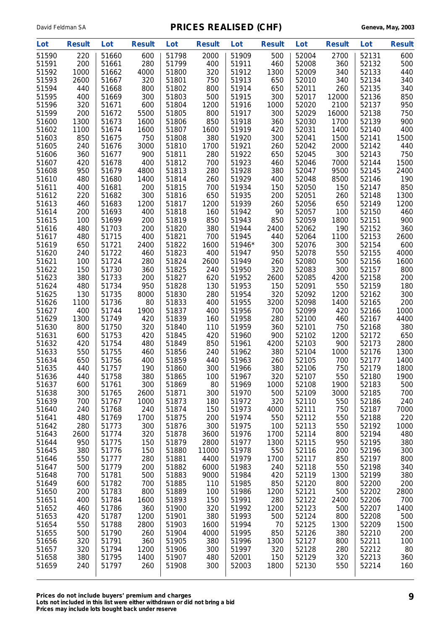| Lot            | <b>Result</b> | Lot            | <b>Result</b> | Lot            | <b>Result</b> | Lot            | <b>Result</b> | Lot            | <b>Result</b> | Lot            | <b>Result</b> |
|----------------|---------------|----------------|---------------|----------------|---------------|----------------|---------------|----------------|---------------|----------------|---------------|
| 51590          | 220           | 51660          | 600           | 51798          | 2000          | 51909          | 500           | 52004          | 2700          | 52131          | 600           |
| 51591          | 200           | 51661          | 280           | 51799          | 400           | 51911          | 460           | 52008          | 360           | 52132          | 500           |
| 51592          | 1000          | 51662          | 4000          | 51800          | 320           | 51912          | 1300          | 52009          | 340           | 52133          | 440           |
| 51593          | 2600          | 51667          | 320           | 51801          | 750           | 51913          | 650           | 52010          | 340           | 52134          | 340           |
| 51594          | 440           | 51668          | 800           | 51802          | 800           | 51914          | 650           | 52011          | 260           | 52135          | 340           |
| 51595<br>51596 | 400           | 51669          | 300           | 51803          | 500           | 51915<br>51916 | 300           | 52017          | 12000         | 52136          | 850           |
| 51599          | 320<br>200    | 51671<br>51672 | 600<br>5500   | 51804<br>51805 | 1200<br>800   | 51917          | 1000<br>300   | 52020<br>52029 | 2100<br>16000 | 52137<br>52138 | 950<br>750    |
| 51600          | 1300          | 51673          | 1600          | 51806          | 850           | 51918          | 360           | 52030          | 1700          | 52139          | 900           |
| 51602          | 1100          | 51674          | 1600          | 51807          | 1600          | 51919          | 420           | 52031          | 1400          | 52140          | 400           |
| 51603          | 850           | 51675          | 750           | 51808          | 380           | 51920          | 300           | 52041          | 1500          | 52141          | 1500          |
| 51605          | 240           | 51676          | 3000          | 51810          | 1700          | 51921          | 260           | 52042          | 2000          | 52142          | 440           |
| 51606          | 360           | 51677          | 900           | 51811          | 280           | 51922          | 650           | 52045          | 300           | 52143          | 750           |
| 51607          | 420           | 51678          | 400           | 51812          | 700           | 51923          | 460           | 52046          | 7000          | 52144          | 1500          |
| 51608          | 950           | 51679          | 4800          | 51813          | 280           | 51928          | 380           | 52047          | 9500          | 52145          | 2400          |
| 51610          | 480           | 51680          | 1400          | 51814          | 260           | 51929          | 400           | 52048          | 8500          | 52146          | 190           |
| 51611          | 400           | 51681          | 200           | 51815          | 700           | 51934          | 150           | 52050          | 150           | 52147          | 850           |
| 51612          | 220           | 51682          | 300           | 51816          | 650           | 51935          | 200           | 52051          | 260           | 52148          | 1300          |
| 51613<br>51614 | 460<br>200    | 51683<br>51693 | 1200<br>400   | 51817<br>51818 | 1200<br>160   | 51939<br>51942 | 260<br>90     | 52056<br>52057 | 650<br>100    | 52149<br>52150 | 1200<br>460   |
| 51615          | 100           | 51699          | 200           | 51819          | 850           | 51943          | 850           | 52059          | 1800          | 52151          | 900           |
| 51616          | 480           | 51703          | 200           | 51820          | 380           | 51944          | 2400          | 52062          | 190           | 52152          | 360           |
| 51617          | 480           | 51715          | 400           | 51821          | 700           | 51945          | 440           | 52064          | 1100          | 52153          | 2600          |
| 51619          | 650           | 51721          | 2400          | 51822          | 1600          | 51946*         | 300           | 52076          | 300           | 52154          | 600           |
| 51620          | 240           | 51722          | 460           | 51823          | 400           | 51947          | 950           | 52078          | 550           | 52155          | 4000          |
| 51621          | 100           | 51724          | 280           | 51824          | 2600          | 51949          | 260           | 52080          | 500           | 52156          | 1600          |
| 51622          | 150           | 51730          | 360           | 51825          | 240           | 51950          | 320           | 52083          | 300           | 52157          | 800           |
| 51623          | 380           | 51733          | 200           | 51827          | 620           | 51952          | 2600          | 52085          | 4200          | 52158          | 200           |
| 51624          | 480           | 51734          | 950           | 51828          | 130           | 51953          | 150           | 52091          | 550           | 52159          | 180           |
| 51625          | 130           | 51735          | 8000          | 51830          | 280           | 51954          | 320           | 52092          | 1200          | 52162          | 300           |
| 51626          | 1100          | 51736          | 80            | 51833          | 400           | 51955          | 3200          | 52098          | 1400          | 52165          | 200           |
| 51627<br>51629 | 400           | 51744          | 1900          | 51837<br>51839 | 400           | 51956          | 700<br>280    | 52099          | 420           | 52166          | 1000          |
| 51630          | 1300<br>800   | 51749<br>51750 | 420<br>320    | 51840          | 160<br>110    | 51958<br>51959 | 360           | 52100<br>52101 | 460<br>750    | 52167<br>52168 | 4400<br>380   |
| 51631          | 600           | 51753          | 420           | 51845          | 420           | 51960          | 900           | 52102          | 1200          | 52172          | 650           |
| 51632          | 420           | 51754          | 480           | 51849          | 850           | 51961          | 4200          | 52103          | 900           | 52173          | 2800          |
| 51633          | 550           | 51755          | 460           | 51856          | 240           | 51962          | 380           | 52104          | 1000          | 52176          | 1300          |
| 51634          | 650           | 51756          | 400           | 51859          | 440           | 51963          | 260           | 52105          | 700           | 52177          | 1400          |
| 51635          | 440           | 51757          | 190           | 51860          | 300           | 51966          | 380           | 52106          | 750           | 52179          | 1800          |
| 51636          | 440           | 51758          | 380           | 51865          | 100           | 51967          | 320           | 52107          | 550           | 52180          | 1900          |
| 51637          | 600           | 51761          | 300           | 51869          | 80            | 51969          | 1000          | 52108          | 1900          | 52183          | 500           |
| 51638          | 300           | 51765          | 2600          | 51871          | 300           | 51970          | 500           | 52109          | 3000          | 52185          | 700           |
| 51639          | 700           | 51767          | 1000          | 51873          | 180           | 51972          | 320           | 52110          | 550           | 52186          | 240           |
| 51640          | 240           | 51768          | 240           | 51874          | 150           | 51973          | 4000          | 52111          | 750           | 52187          | 7000          |
| 51641<br>51642 | 480<br>280    | 51769<br>51773 | 1700<br>300   | 51875<br>51876 | 200<br>300    | 51974<br>51975 | 550<br>100    | 52112<br>52113 | 550<br>550    | 52188<br>52192 | 220<br>1000   |
| 51643          | 2600          | 51774          | 320           | 51878          | 3600          | 51976          | 1700          | 52114          | 800           | 52194          | 480           |
| 51644          | 950           | 51775          | 150           | 51879          | 2800          | 51977          | 1300          | 52115          | 950           | 52195          | 380           |
| 51645          | 380           | 51776          | 150           | 51880          | 11000         | 51978          | 550           | 52116          | 200           | 52196          | 300           |
| 51646          | 550           | 51777          | 280           | 51881          | 4400          | 51979          | 1700          | 52117          | 850           | 52197          | 800           |
| 51647          | 500           | 51779          | 200           | 51882          | 6000          | 51983          | 240           | 52118          | 550           | 52198          | 340           |
| 51648          | 700           | 51781          | 500           | 51883          | 9000          | 51984          | 420           | 52119          | 1300          | 52199          | 380           |
| 51649          | 600           | 51782          | 700           | 51885          | 110           | 51985          | 850           | 52120          | 800           | 52200          | 200           |
| 51650          | 200           | 51783          | 800           | 51889          | 100           | 51986          | 1200          | 52121          | 500           | 52202          | 2800          |
| 51651          | 400           | 51784          | 1600          | 51893          | 150           | 51991          | 280           | 52122          | 2400          | 52206          | 700           |
| 51652          | 460           | 51786          | 360           | 51900          | 320           | 51992          | 1200          | 52123          | 500           | 52207          | 1400          |
| 51653          | 420           | 51787          | 1200          | 51901<br>51903 | 380           | 51993          | 500           | 52124          | 800           | 52208          | 500           |
| 51654<br>51655 | 550<br>500    | 51788<br>51790 | 2800<br>260   | 51904          | 1600<br>4000  | 51994<br>51995 | 70<br>850     | 52125<br>52126 | 1300<br>380   | 52209<br>52210 | 1500<br>200   |
| 51656          | 320           | 51791          | 360           | 51905          | 380           | 51996          | 1300          | 52127          | 800           | 52211          | 100           |
| 51657          | 320           | 51794          | 1200          | 51906          | 300           | 51997          | 320           | 52128          | 280           | 52212          | 80            |
| 51658          | 380           | 51795          | 1400          | 51907          | 480           | 52001          | 150           | 52129          | 320           | 52213          | 360           |
| 51659          | 240           | 51797          | 260           | 51908          | 300           | 52003          | 1800          | 52130          | 550           | 52214          | 160           |
|                |               |                |               |                |               |                |               |                |               |                |               |

**Prices do not include buyers' premium and charges 9 Lots not included in this list were either withdrawn or did not bring a bid Prices may include lots bought back under reserve**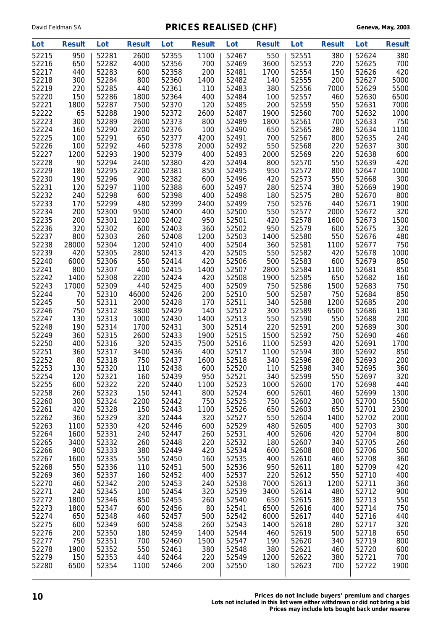| Lot   | <b>Result</b> | Lot   | <b>Result</b> | Lot   | <b>Result</b> | Lot   | <b>Result</b> | Lot   | <b>Result</b> | Lot   | <b>Result</b> |
|-------|---------------|-------|---------------|-------|---------------|-------|---------------|-------|---------------|-------|---------------|
| 52215 | 950           | 52281 | 2600          | 52355 | 1100          | 52467 | 550           | 52551 | 380           | 52624 | 380           |
| 52216 | 650           | 52282 | 4000          | 52356 | 700           | 52469 | 3600          | 52553 | 220           | 52625 | 700           |
| 52217 | 440           | 52283 | 600           | 52358 | 200           | 52481 | 1700          | 52554 | 150           | 52626 | 420           |
| 52218 | 300           | 52284 | 800           | 52360 | 1400          | 52482 | 140           | 52555 | 200           | 52627 | 5000          |
| 52219 | 220           | 52285 | 440           | 52361 | 110           | 52483 | 380           | 52556 | 7000          | 52629 | 5500          |
| 52220 | 150           | 52286 | 1800          | 52364 | 400           | 52484 | 100           | 52557 | 460           | 52630 | 6500          |
| 52221 | 1800          | 52287 | 7500          | 52370 | 120           | 52485 | 200           | 52559 | 550           | 52631 | 7000          |
| 52222 | 65            | 52288 | 1900          | 52372 | 2600          | 52487 | 1900          | 52560 | 700           | 52632 | 1000          |
| 52223 | 300           | 52289 | 2600          | 52373 | 800           | 52489 | 1800          | 52561 | 700           | 52633 | 750           |
| 52224 | 160           | 52290 | 2200          | 52376 | 100           | 52490 | 650           | 52565 | 280           | 52634 | 1100          |
| 52225 | 100           | 52291 | 650           | 52377 | 4200          | 52491 | 700           | 52567 | 800           | 52635 | 240           |
| 52226 | 100           | 52292 | 460           | 52378 | 2000          | 52492 | 550           | 52568 | 220           | 52637 | 300           |
| 52227 | 1200          | 52293 | 1900          | 52379 | 400           | 52493 | 2000          | 52569 | 220           | 52638 | 600           |
| 52228 | 90            | 52294 | 2400          | 52380 | 420           | 52494 | 800           | 52570 | 550           | 52639 | 420           |
| 52229 | 180           | 52295 | 2200          | 52381 | 850           | 52495 | 950           | 52572 | 800           | 52647 | 1000          |
| 52230 | 190           | 52296 | 900           | 52382 | 600           | 52496 | 420           | 52573 | 550           | 52668 | 300           |
| 52231 | 120           | 52297 | 1100          | 52388 | 600           | 52497 | 280           | 52574 | 380           | 52669 | 1900          |
| 52232 | 240           | 52298 | 600           | 52398 | 400           | 52498 | 180           | 52575 | 280           | 52670 | 800           |
| 52233 | 170           | 52299 | 480           | 52399 | 2400          | 52499 | 750           | 52576 | 440           | 52671 | 1900          |
| 52234 | 200           | 52300 | 9500          | 52400 |               | 52500 | 550           | 52577 | 2000          |       | 320           |
| 52235 |               |       |               |       | 400           |       |               |       |               | 52672 |               |
|       | 200           | 52301 | 1200          | 52402 | 950           | 52501 | 420           | 52578 | 1600          | 52673 | 1500          |
| 52236 | 320           | 52302 | 600           | 52403 | 360           | 52502 | 950           | 52579 | 600           | 52675 | 320           |
| 52237 | 800           | 52303 | 260           | 52408 | 1200          | 52503 | 1400          | 52580 | 550           | 52676 | 480           |
| 52238 | 28000         | 52304 | 1200          | 52410 | 400           | 52504 | 360           | 52581 | 1100          | 52677 | 750           |
| 52239 | 420           | 52305 | 2800          | 52413 | 420           | 52505 | 550           | 52582 | 420           | 52678 | 1000          |
| 52240 | 6000          | 52306 | 550           | 52414 | 420           | 52506 | 500           | 52583 | 600           | 52679 | 850           |
| 52241 | 800           | 52307 | 400           | 52415 | 1400          | 52507 | 2800          | 52584 | 1100          | 52681 | 850           |
| 52242 | 1400          | 52308 | 2200          | 52424 | 420           | 52508 | 1900          | 52585 | 650           | 52682 | 160           |
| 52243 | 17000         | 52309 | 440           | 52425 | 400           | 52509 | 750           | 52586 | 1500          | 52683 | 750           |
| 52244 | 70            | 52310 | 46000         | 52426 | 200           | 52510 | 500           | 52587 | 750           | 52684 | 850           |
| 52245 | 50            | 52311 | 2000          | 52428 | 170           | 52511 | 340           | 52588 | 1200          | 52685 | 200           |
| 52246 | 750           | 52312 | 3800          | 52429 | 140           | 52512 | 300           | 52589 | 6500          | 52686 | 130           |
| 52247 | 130           | 52313 | 1000          | 52430 | 1400          | 52513 | 550           | 52590 | 550           | 52688 | 200           |
| 52248 | 190           | 52314 | 1700          | 52431 | 300           | 52514 | 220           | 52591 | 200           | 52689 | 300           |
| 52249 | 360           | 52315 | 2600          | 52433 | 1900          | 52515 | 1500          | 52592 | 750           | 52690 | 460           |
| 52250 | 400           | 52316 | 320           | 52435 | 7500          | 52516 | 1100          | 52593 | 420           | 52691 | 1700          |
| 52251 | 360           | 52317 | 3400          | 52436 | 400           | 52517 | 1100          | 52594 | 300           | 52692 | 850           |
| 52252 | 80            | 52318 | 750           | 52437 | 1600          | 52518 | 340           | 52596 | 280           | 52693 | 200           |
| 52253 | 130           | 52320 | 110           | 52438 | 600           | 52520 | 110           | 52598 | 340           | 52695 | 360           |
| 52254 | 120           | 52321 | 160           | 52439 | 950           | 52521 | 340           | 52599 | 550           | 52697 | 320           |
| 52255 | 600           | 52322 | 220           | 52440 | 1100          | 52523 | 1000          | 52600 | 170           | 52698 | 440           |
| 52258 | 260           | 52323 | 150           | 52441 | 800           | 52524 | 600           | 52601 | 460           | 52699 | 1300          |
| 52260 | 300           | 52324 | 2200          | 52442 | 750           | 52525 | 750           | 52602 | 300           | 52700 | 5500          |
| 52261 | 420           | 52328 | 150           | 52443 | 1100          | 52526 | 650           | 52603 | 650           | 52701 | 2300          |
| 52262 | 360           | 52329 | 320           | 52444 | 320           | 52527 | 550           | 52604 | 1400          | 52702 | 2000          |
| 52263 | 1100          | 52330 | 420           | 52446 | 600           | 52529 | 480           | 52605 | 400           | 52703 | 300           |
| 52264 | 1600          | 52331 | 240           | 52447 | 260           | 52531 | 400           | 52606 | 420           | 52704 | 800           |
| 52265 | 3400          | 52332 | 260           | 52448 | 220           | 52532 | 180           | 52607 | 340           | 52705 | 260           |
| 52266 | 900           | 52333 | 380           | 52449 | 420           | 52534 | 600           | 52608 | 800           | 52706 | 500           |
| 52267 | 1600          | 52335 | 550           | 52450 | 160           | 52535 | 400           | 52610 | 460           | 52708 | 360           |
| 52268 | 550           | 52336 | 110           | 52451 | 500           | 52536 | 950           | 52611 | 180           | 52709 | 420           |
| 52269 | 360           | 52337 | 160           | 52452 | 400           | 52537 | 220           | 52612 | 550           | 52710 | 400           |
| 52270 | 460           | 52342 | 200           | 52453 | 240           | 52538 | 7000          | 52613 | 1200          | 52711 | 360           |
| 52271 | 240           | 52345 | 100           | 52454 | 320           | 52539 | 3400          | 52614 | 480           | 52712 | 900           |
| 52272 | 1800          | 52346 | 850           | 52455 | 260           | 52540 | 650           | 52615 | 380           | 52713 | 550           |
| 52273 | 1800          | 52347 | 600           | 52456 | 80            | 52541 | 6500          | 52616 | 400           | 52714 | 750           |
| 52274 | 650           | 52348 | 460           | 52457 | 500           | 52542 | 6000          | 52617 | 440           | 52716 | 440           |
| 52275 | 600           | 52349 | 600           | 52458 | 260           | 52543 | 1400          | 52618 | 280           | 52717 | 320           |
| 52276 | 200           | 52350 | 180           | 52459 | 1400          | 52544 | 460           | 52619 | 500           | 52718 | 650           |
| 52277 | 750           | 52351 | 700           | 52460 | 1500          | 52547 | 190           | 52620 | 340           | 52719 | 800           |
| 52278 | 1900          | 52352 | 550           | 52461 | 380           | 52548 | 380           | 52621 | 460           | 52720 | 600           |
| 52279 | 150           | 52353 | 440           | 52464 | 220           | 52549 | 1200          | 52622 | 380           | 52721 | 700           |
| 52280 | 6500          | 52354 | 1100          | 52466 | 200           | 52550 | 180           | 52623 | 700           | 52722 | 1900          |
|       |               |       |               |       |               |       |               |       |               |       |               |
|       |               |       |               |       |               |       |               |       |               |       |               |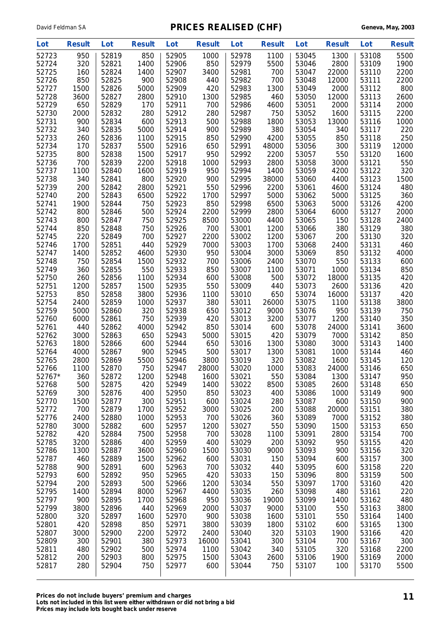| Lot            | <b>Result</b> | Lot            | <b>Result</b> | Lot            | <b>Result</b> | Lot            | <b>Result</b> | Lot            | <b>Result</b> | Lot            | <b>Result</b> |
|----------------|---------------|----------------|---------------|----------------|---------------|----------------|---------------|----------------|---------------|----------------|---------------|
| 52723          | 950           | 52819          | 850           | 52905          | 1000          | 52978          | 1100          | 53045          | 1300          | 53108          | 5500          |
| 52724          | 320           | 52821          | 1400          | 52906          | 850           | 52979          | 5500          | 53046          | 2800          | 53109          | 1900          |
| 52725          | 160           | 52824          | 1400          | 52907          | 3400          | 52981          | 700           | 53047          | 22000         | 53110          | 2200          |
| 52726          | 850           | 52825          | 900           | 52908          | 440           | 52982          | 700           | 53048          | 12000         | 53111          | 2200          |
| 52727          | 1500          | 52826          | 5000          | 52909          | 420           | 52983          | 1300          | 53049          | 2000          | 53112          | 800           |
| 52728          | 3600          | 52827          | 2800          | 52910          | 1300          | 52985          | 460           | 53050          | 12000         | 53113          | 2600          |
| 52729          | 650           | 52829          | 170           | 52911          | 700           | 52986          | 4600          | 53051          | 2000          | 53114          | 2000          |
| 52730          | 2000          | 52832          | 280           | 52912          | 280           | 52987          | 750           | 53052          | 1600          | 53115          | 2200          |
| 52731          | 900           | 52834          | 600           | 52913          | 500           | 52988          | 1800          | 53053          | 13000         | 53116          | 1000          |
| 52732<br>52733 | 340           | 52835          | 5000<br>1100  | 52914          | 900           | 52989          | 380           | 53054          | 340           | 53117          | 220           |
| 52734          | 260<br>170    | 52836<br>52837 | 5500          | 52915<br>52916 | 850<br>650    | 52990<br>52991 | 4200<br>48000 | 53055<br>53056 | 850<br>300    | 53118<br>53119 | 250<br>12000  |
| 52735          | 800           | 52838          | 1500          | 52917          | 950           | 52992          | 2200          | 53057          | 550           | 53120          | 1600          |
| 52736          | 700           | 52839          | 2200          | 52918          | 1000          | 52993          | 2800          | 53058          | 3000          | 53121          | 550           |
| 52737          | 1100          | 52840          | 1600          | 52919          | 950           | 52994          | 1400          | 53059          | 4200          | 53122          | 320           |
| 52738          | 340           | 52841          | 800           | 52920          | 900           | 52995          | 38000         | 53060          | 4400          | 53123          | 1500          |
| 52739          | 200           | 52842          | 2800          | 52921          | 550           | 52996          | 2200          | 53061          | 4600          | 53124          | 480           |
| 52740          | 200           | 52843          | 6500          | 52922          | 1700          | 52997          | 5000          | 53062          | 5000          | 53125          | 360           |
| 52741          | 1900          | 52844          | 750           | 52923          | 850           | 52998          | 6500          | 53063          | 5000          | 53126          | 4200          |
| 52742          | 800           | 52846          | 500           | 52924          | 2200          | 52999          | 2800          | 53064          | 6000          | 53127          | 2000          |
| 52743          | 800           | 52847          | 750           | 52925          | 8500          | 53000          | 4400          | 53065          | 150           | 53128          | 2400          |
| 52744          | 850           | 52848          | 750           | 52926          | 700           | 53001          | 1200          | 53066          | 380           | 53129          | 380           |
| 52745          | 220           | 52849          | 700           | 52927          | 2200          | 53002          | 1200          | 53067          | 200           | 53130          | 320           |
| 52746          | 1700          | 52851          | 440           | 52929          | 7000          | 53003          | 1700          | 53068          | 2400          | 53131          | 460           |
| 52747          | 1400          | 52852          | 4600          | 52930          | 950           | 53004          | 3000          | 53069          | 850           | 53132          | 4000          |
| 52748          | 750           | 52854          | 1500          | 52932          | 700           | 53006          | 2400          | 53070          | 550           | 53133          | 600           |
| 52749          | 360           | 52855          | 550           | 52933          | 850           | 53007          | 1100          | 53071          | 1000          | 53134          | 850           |
| 52750<br>52751 | 260<br>1200   | 52856<br>52857 | 1100<br>1500  | 52934<br>52935 | 600<br>550    | 53008<br>53009 | 500<br>440    | 53072<br>53073 | 18000<br>2600 | 53135<br>53136 | 420<br>420    |
| 52753          | 850           | 52858          | 3800          | 52936          | 1100          | 53010          | 650           | 53074          | 16000         | 53137          | 420           |
| 52754          | 2400          | 52859          | 1000          | 52937          | 380           | 53011          | 26000         | 53075          | 1100          | 53138          | 3800          |
| 52759          | 5000          | 52860          | 320           | 52938          | 650           | 53012          | 9000          | 53076          | 950           | 53139          | 750           |
| 52760          | 6000          | 52861          | 750           | 52939          | 420           | 53013          | 3200          | 53077          | 1200          | 53140          | 350           |
| 52761          | 440           | 52862          | 4000          | 52942          | 850           | 53014          | 600           | 53078          | 24000         | 53141          | 3600          |
| 52762          | 3000          | 52863          | 650           | 52943          | 5000          | 53015          | 420           | 53079          | 7000          | 53142          | 850           |
| 52763          | 1800          | 52866          | 600           | 52944          | 650           | 53016          | 1300          | 53080          | 3000          | 53143          | 1400          |
| 52764          | 4000          | 52867          | 900           | 52945          | 500           | 53017          | 1300          | 53081          | 1000          | 53144          | 460           |
| 52765          | 2800          | 52869          | 5500          | 52946          | 3800          | 53019          | 320           | 53082          | 1600          | 53145          | 120           |
| 52766          | 1100          | 52870          | 750           | 52947          | 28000         | 53020          | 1000          | 53083          | 24000         | 53146          | 650           |
| 52767          | 360           | 52872          | 1200          | 52948          | 1600          | 53021          | 550           | 53084          | 1300          | 53147          | 950           |
| 52768          | 500           | 52875          | 420           | 52949          | 1400          | 53022          | 8500          | 53085          | 2600          | 53148          | 650           |
| 52769          | 300           | 52876          | 400           | 52950          | 850           | 53023          | 400           | 53086          | 1000          | 53149          | 900           |
| 52770          | 1500          | 52877          | 300           | 52951          | 600           | 53024          | 280           | 53087          | 600           | 53150          | 900           |
| 52772<br>52776 | 700<br>2400   | 52879<br>52880 | 1700<br>1000  | 52952<br>52953 | 3000<br>700   | 53025<br>53026 | 200<br>360    | 53088<br>53089 | 20000<br>7000 | 53151<br>53152 | 380<br>380    |
| 52780          | 3000          | 52882          | 600           | 52957          | 1200          | 53027          | 550           | 53090          | 1500          | 53153          | 650           |
| 52782          | 420           | 52884          | 7500          | 52958          | 700           | 53028          | 1100          | 53091          | 2800          | 53154          | 700           |
| 52785          | 3200          | 52886          | 400           | 52959          | 400           | 53029          | 200           | 53092          | 950           | 53155          | 420           |
| 52786          | 1300          | 52887          | 3600          | 52960          | 1500          | 53030          | 9000          | 53093          | 900           | 53156          | 320           |
| 52787          | 460           | 52889          | 1500          | 52962          | 600           | 53031          | 150           | 53094          | 600           | 53157          | 300           |
| 52788          | 900           | 52891          | 600           | 52963          | 700           | 53032          | 440           | 53095          | 600           | 53158          | 220           |
| 52793          | 600           | 52892          | 950           | 52965          | 420           | 53033          | 150           | 53096          | 800           | 53159          | 500           |
| 52794          | 200           | 52893          | 500           | 52966          | 1200          | 53034          | 550           | 53097          | 1700          | 53160          | 420           |
| 52795          | 1400          | 52894          | 8000          | 52967          | 4400          | 53035          | 260           | 53098          | 480           | 53161          | 220           |
| 52797          | 900           | 52895          | 1700          | 52968          | 950           | 53036          | 19000         | 53099          | 1400          | 53162          | 480           |
| 52799          | 3800          | 52896          | 440           | 52969          | 2000          | 53037          | 9000          | 53100          | 550           | 53163          | 3800          |
| 52800          | 320           | 52897          | 1600          | 52970          | 900           | 53038          | 1600          | 53101          | 550           | 53164          | 1400          |
| 52801          | 420           | 52898          | 850           | 52971          | 3800          | 53039          | 1800          | 53102          | 600           | 53165          | 1300          |
| 52807          | 3000          | 52900          | 2200          | 52972          | 2400          | 53040          | 320           | 53103          | 1900          | 53166          | 420           |
| 52809<br>52811 | 300<br>480    | 52901<br>52902 | 380<br>500    | 52973<br>52974 | 16000<br>1100 | 53041<br>53042 | 300<br>340    | 53104<br>53105 | 700<br>320    | 53167<br>53168 | 300<br>2200   |
| 52812          | 200           | 52903          | 800           | 52975          | 1500          | 53043          | 2600          | 53106          | 1900          | 53169          | 2000          |
| 52817          | 280           | 52904          | 750           | 52977          | 600           | 53044          | 750           | 53107          | 100           | 53170          | 5500          |
|                |               |                |               |                |               |                |               |                |               |                |               |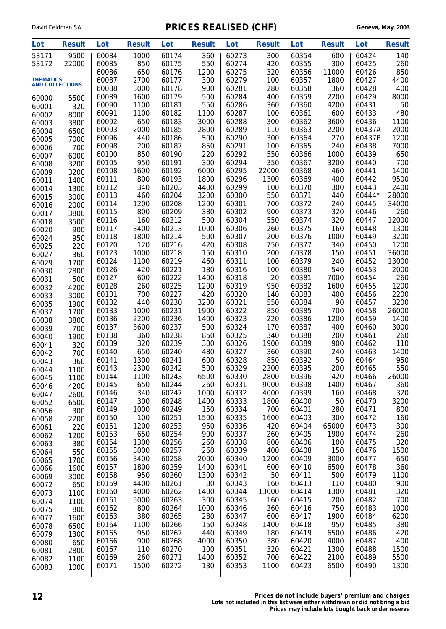| Lot                                        | <b>Result</b> | Lot            | <b>Result</b> | Lot            | <b>Result</b> | Lot            | <b>Result</b> | Lot            | <b>Result</b> | Lot            | <b>Result</b> |
|--------------------------------------------|---------------|----------------|---------------|----------------|---------------|----------------|---------------|----------------|---------------|----------------|---------------|
| 53171                                      | 9500          | 60084          | 1000          | 60174          | 360           | 60273          | 300           | 60354          | 600           | 60424          | 140           |
| 53172                                      | 22000         | 60085          | 850           | 60175          | 550           | 60274          | 420           | 60355          | 300           | 60425          | 260           |
|                                            |               | 60086          | 650           | 60176          | 1200          | 60275          | 320           | 60356          | 11000         | 60426          | 850           |
| <b>THEMATICS</b><br><b>AND COLLECTIONS</b> |               | 60087          | 2700          | 60177          | 300           | 60279          | 100           | 60357          | 1800          | 60427          | 4400          |
|                                            |               | 60088          | 3000          | 60178          | 900           | 60281          | 280           | 60358          | 360           | 60428          | 400           |
| 60000                                      | 5500          | 60089<br>60090 | 1600<br>1100  | 60179<br>60181 | 500<br>550    | 60284<br>60286 | 400<br>360    | 60359<br>60360 | 2200<br>4200  | 60429<br>60431 | 8000<br>50    |
| 60001                                      | 320           | 60091          | 1100          | 60182          | 1100          | 60287          | 100           | 60361          | 600           | 60433          | 480           |
| 60002                                      | 8000          | 60092          | 650           | 60183          | 3000          | 60288          | 300           | 60362          | 3600          | 60436          | 1100          |
| 60003<br>60004                             | 3800<br>6500  | 60093          | 2000          | 60185          | 2800          | 60289          | 110           | 60363          | 2200          | 60437A         | 2000          |
| 60005                                      | 7000          | 60096          | 440           | 60186          | 500           | 60290          | 300           | 60364          | 270           | 60437B         | 1200          |
| 60006                                      | 700           | 60098          | 200           | 60187          | 850           | 60291          | 100           | 60365          | 240           | 60438          | 7000          |
| 60007                                      | 6000          | 60100          | 850           | 60190          | 220           | 60292          | 550           | 60366          | 1000          | 60439          | 650           |
| 60008                                      | 3200          | 60105          | 950           | 60191          | 300           | 60294          | 350           | 60367          | 3200          | 60440          | 700           |
| 60009                                      | 3200          | 60108          | 1600          | 60192          | 6000          | 60295          | 22000         | 60368          | 460           | 60441          | 1400          |
| 60011                                      | 1400          | 60111          | 800           | 60193          | 1800          | 60296          | 1300          | 60369          | 400           | 60442          | 9500          |
| 60014                                      | 1300          | 60112          | 340           | 60203          | 4400          | 60299          | 100           | 60370          | 300           | 60443          | 2400          |
| 60015                                      | 3000          | 60113          | 460           | 60204          | 3200          | 60300          | 550           | 60371          | 440           | 60444*         | 28000         |
| 60016                                      | 2000          | 60114          | 1200          | 60208          | 1200          | 60301          | 700           | 60372          | 240           | 60445          | 34000         |
| 60017                                      | 3800          | 60115          | 800<br>160    | 60209<br>60212 | 380<br>500    | 60302<br>60304 | 900           | 60373<br>60374 | 320<br>320    | 60446<br>60447 | 260<br>12000  |
| 60018                                      | 3500          | 60116<br>60117 | 3400          | 60213          | 1000          | 60306          | 550<br>260    | 60375          | 160           | 60448          | 1300          |
| 60020                                      | 900           | 60118          | 1800          | 60214          | 500           | 60307          | 200           | 60376          | 1000          | 60449          | 3200          |
| 60024<br>60025                             | 950<br>220    | 60120          | 120           | 60216          | 420           | 60308          | 750           | 60377          | 340           | 60450          | 1200          |
| 60027                                      | 360           | 60123          | 1000          | 60218          | 150           | 60310          | 200           | 60378          | 150           | 60451          | 36000         |
| 60029                                      | 1700          | 60124          | 1100          | 60219          | 460           | 60311          | 100           | 60379          | 240           | 60452          | 13000         |
| 60030                                      | 2800          | 60126          | 420           | 60221          | 180           | 60316          | 100           | 60380          | 540           | 60453          | 2000          |
| 60031                                      | 500           | 60127          | 600           | 60222          | 1400          | 60318          | 20            | 60381          | 7000          | 60454          | 260           |
| 60032                                      | 4200          | 60128          | 260           | 60225          | 1200          | 60319          | 950           | 60382          | 1600          | 60455          | 1200          |
| 60033                                      | 3000          | 60131          | 700           | 60227          | 420           | 60320          | 140           | 60383          | 400           | 60456          | 2200          |
| 60035                                      | 1900          | 60132          | 440           | 60230          | 3200          | 60321          | 550           | 60384          | 90            | 60457          | 3200          |
| 60037                                      | 1700          | 60133          | 1000          | 60231          | 1900          | 60322          | 850           | 60385          | 700           | 60458          | 26000         |
| 60038                                      | 3800          | 60136          | 2200          | 60236          | 1400          | 60323          | 220           | 60386          | 1200          | 60459          | 1400          |
| 60039                                      | 700           | 60137          | 3600          | 60237<br>60238 | 500           | 60324<br>60325 | 170           | 60387          | 400<br>200    | 60460          | 3000          |
| 60040                                      | 1900          | 60138<br>60139 | 360<br>320    | 60239          | 850<br>300    | 60326          | 340<br>1900   | 60388<br>60389 | 900           | 60461<br>60462 | 260<br>110    |
| 60041                                      | 320           | 60140          | 650           | 60240          | 480           | 60327          | 360           | 60390          | 240           | 60463          | 1400          |
| 60042<br>60043                             | 700<br>360    | 60141          | 1300          | 60241          | 600           | 60328          | 850           | 60392          | 50            | 60464          | 950           |
| 60044                                      | 1100          | 60143          | 2300          | 60242          | 500           | 60329          | 2200          | 60395          | 200           | 60465          | 550           |
| 60045                                      | 1100          | 60144          | 1100          | 60243          | 6500          | 60330          | 2800          | 60396          | 420           | 60466          | 26000         |
| 60046                                      | 4200          | 60145          | 650           | 60244          | 260           | 60331          | 9000          | 60398          | 1400          | 60467          | 360           |
| 60047                                      | 2600          | 60146          | 340           | 60247          | 1000          | 60332          | 4000          | 60399          | 160           | 60468          | 320           |
| 60052                                      | 6500          | 60147          | 300           | 60248          | 1400          | 60333          | 1800          | 60400          | 50            | 60470          | 3200          |
| 60056                                      | 300           | 60149          | 1000          | 60249          | 150           | 60334          | 700           | 60401          | 280           | 60471          | 800           |
| 60058                                      | 2200          | 60150          | 100           | 60251          | 1500          | 60335          | 1600          | 60403          | 300           | 60472          | 160           |
| 60061                                      | 220           | 60151          | 1200<br>650   | 60253          | 950<br>900    | 60336          | 420           | 60404          | 65000<br>1900 | 60473<br>60474 | 300           |
| 60062                                      | 1200          | 60153<br>60154 | 1300          | 60254<br>60256 | 260           | 60337<br>60338 | 260<br>800    | 60405<br>60406 | 100           | 60475          | 260<br>320    |
| 60063                                      | 380<br>550    | 60155          | 3000          | 60257          | 260           | 60339          | 400           | 60408          | 150           | 60476          | 1500          |
| 60064<br>60065                             | 1700          | 60156          | 3400          | 60258          | 2000          | 60340          | 1200          | 60409          | 3000          | 60477          | 650           |
| 60066                                      | 1600          | 60157          | 1800          | 60259          | 1400          | 60341          | 600           | 60410          | 6500          | 60478          | 360           |
| 60069                                      | 3000          | 60158          | 950           | 60260          | 1300          | 60342          | 50            | 60411          | 500           | 60479          | 1100          |
| 60072                                      | 650           | 60159          | 4400          | 60261          | 80            | 60343          | 160           | 60413          | 110           | 60480          | 900           |
| 60073                                      | 1100          | 60160          | 4000          | 60262          | 1400          | 60344          | 13000         | 60414          | 1300          | 60481          | 320           |
| 60074                                      | 1100          | 60161          | 5000          | 60263          | 300           | 60345          | 160           | 60415          | 200           | 60482          | 700           |
| 60075                                      | 800           | 60162          | 800           | 60264          | 1000          | 60346          | 260           | 60416          | 750           | 60483          | 1000          |
| 60077                                      | 1600          | 60163          | 380           | 60265          | 280           | 60347          | 600           | 60417          | 1900          | 60484          | 6200          |
| 60078                                      | 6500          | 60164          | 1100<br>950   | 60266<br>60267 | 150<br>440    | 60348<br>60349 | 1400<br>180   | 60418<br>60419 | 950<br>6500   | 60485<br>60486 | 380<br>420    |
| 60079                                      | 1300          | 60165<br>60166 | 900           | 60268          | 4000          | 60350          | 380           | 60420          | 4000          | 60487          | 400           |
| 60080<br>60081                             | 650<br>2800   | 60167          | 110           | 60270          | 100           | 60351          | 320           | 60421          | 1300          | 60488          | 1500          |
| 60082                                      | 1100          | 60169          | 260           | 60271          | 1400          | 60352          | 700           | 60422          | 2100          | 60489          | 5500          |
| 60083                                      | 1000          | 60171          | 1500          | 60272          | 130           | 60353          | 1100          | 60423          | 6500          | 60490          | 1300          |
|                                            |               |                |               |                |               |                |               |                |               |                |               |

**12 Prices do not include buyers' premium and charges Lots not included in this list were either withdrawn or did not bring a bid Prices may include lots bought back under reserve**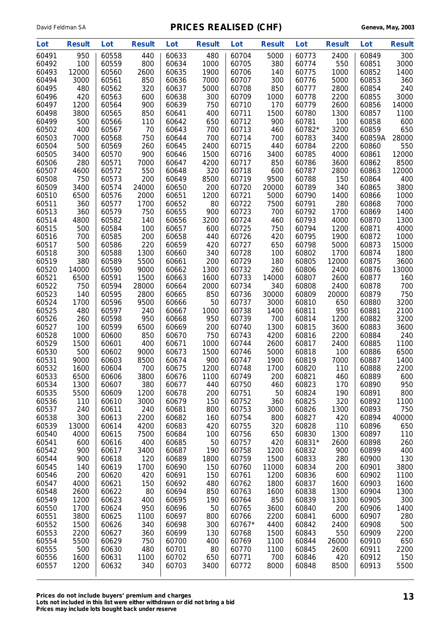| Lot            | <b>Result</b> | Lot            | <b>Result</b> | Lot            | <b>Result</b> | Lot            | <b>Result</b> | Lot            | <b>Result</b> | Lot            | <b>Result</b> |
|----------------|---------------|----------------|---------------|----------------|---------------|----------------|---------------|----------------|---------------|----------------|---------------|
| 60491          | 950           | 60558          | 440           | 60633          | 480           | 60704          | 5000          | 60773          | 2400          | 60849          | 300           |
| 60492          | 100           | 60559          | 800           | 60634          | 1000          | 60705          | 380           | 60774          | 550           | 60851          | 3000          |
| 60493          | 12000         | 60560          | 2600          | 60635          | 1900          | 60706          | 140           | 60775          | 1000          | 60852          | 1400          |
| 60494          | 3000          | 60561          | 850           | 60636          | 7000          | 60707          | 300           | 60776          | 5000          | 60853          | 360           |
| 60495          | 480           | 60562          | 320           | 60637          | 5000          | 60708          | 850           | 60777          | 2800          | 60854          | 240           |
| 60496          | 420           | 60563          | 600           | 60638          | 300           | 60709          | 1000          | 60778          | 2200          | 60855          | 3000          |
| 60497<br>60498 | 1200<br>3800  | 60564<br>60565 | 900<br>850    | 60639<br>60641 | 750<br>400    | 60710<br>60711 | 170<br>1500   | 60779<br>60780 | 2600<br>1300  | 60856<br>60857 | 14000<br>1100 |
| 60499          | 500           | 60566          | 110           | 60642          | 650           | 60712          | 900           | 60781          | 100           | 60858          | 600           |
| 60502          | 400           | 60567          | 70            | 60643          | 700           | 60713          | 460           | 60782*         | 3200          | 60859          | 650           |
| 60503          | 7000          | 60568          | 750           | 60644          | 700           | 60714          | 700           | 60783          | 3400          | 60859A         | 28000         |
| 60504          | 500           | 60569          | 260           | 60645          | 2400          | 60715          | 440           | 60784          | 2200          | 60860          | 550           |
| 60505          | 3400          | 60570          | 900           | 60646          | 1500          | 60716          | 3400          | 60785          | 4000          | 60861          | 12000         |
| 60506          | 280           | 60571          | 7000          | 60647          | 4200          | 60717          | 850           | 60786          | 3600          | 60862          | 8500          |
| 60507          | 4600          | 60572          | 550           | 60648          | 320           | 60718          | 600           | 60787          | 2800          | 60863          | 12000         |
| 60508          | 750           | 60573          | 200           | 60649          | 8500          | 60719          | 9500          | 60788          | 150           | 60864          | 400           |
| 60509          | 3400          | 60574          | 24000         | 60650          | 200           | 60720          | 20000         | 60789          | 340           | 60865          | 3800          |
| 60510          | 6500          | 60576          | 2000          | 60651          | 1200          | 60721          | 5000          | 60790          | 1400          | 60866          | 1000          |
| 60511          | 360           | 60577          | 1700          | 60652          | 80            | 60722          | 7500          | 60791          | 280           | 60868          | 7000          |
| 60513          | 360           | 60579          | 750           | 60655          | 900           | 60723          | 700           | 60792          | 1700          | 60869          | 1400          |
| 60514<br>60515 | 4800<br>500   | 60582<br>60584 | 140<br>100    | 60656<br>60657 | 3200<br>600   | 60724<br>60725 | 460<br>750    | 60793<br>60794 | 4000<br>1200  | 60870<br>60871 | 1300<br>4000  |
| 60516          | 700           | 60585          | 200           | 60658          | 440           | 60726          | 420           | 60795          | 1900          | 60872          | 1000          |
| 60517          | 500           | 60586          | 220           | 60659          | 420           | 60727          | 650           | 60798          | 5000          | 60873          | 15000         |
| 60518          | 300           | 60588          | 1300          | 60660          | 340           | 60728          | 100           | 60802          | 1700          | 60874          | 1800          |
| 60519          | 380           | 60589          | 5500          | 60661          | 200           | 60729          | 180           | 60805          | 12000         | 60875          | 3600          |
| 60520          | 14000         | 60590          | 9000          | 60662          | 1300          | 60732          | 260           | 60806          | 2400          | 60876          | 13000         |
| 60521          | 6500          | 60591          | 1500          | 60663          | 1600          | 60733          | 14000         | 60807          | 2600          | 60877          | 160           |
| 60522          | 750           | 60594          | 28000         | 60664          | 2000          | 60734          | 340           | 60808          | 2400          | 60878          | 700           |
| 60523          | 140           | 60595          | 2800          | 60665          | 850           | 60736          | 30000         | 60809          | 20000         | 60879          | 750           |
| 60524          | 1700          | 60596          | 9500          | 60666          | 50            | 60737          | 3000          | 60810          | 650           | 60880          | 3200          |
| 60525          | 480           | 60597          | 240           | 60667          | 1000          | 60738          | 1400          | 60811          | 950           | 60881          | 2100          |
| 60526<br>60527 | 260<br>100    | 60598<br>60599 | 950           | 60668          | 950           | 60739<br>60740 | 700<br>1300   | 60814          | 1200          | 60882<br>60883 | 3200          |
| 60528          | 1000          | 60600          | 6500<br>850   | 60669<br>60670 | 200<br>750    | 60743          | 4200          | 60815<br>60816 | 3600<br>2200  | 60884          | 3600<br>240   |
| 60529          | 1500          | 60601          | 400           | 60671          | 1000          | 60744          | 2600          | 60817          | 2400          | 60885          | 1100          |
| 60530          | 500           | 60602          | 9000          | 60673          | 1500          | 60746          | 5000          | 60818          | 100           | 60886          | 6500          |
| 60531          | 9000          | 60603          | 8500          | 60674          | 900           | 60747          | 1900          | 60819          | 7000          | 60887          | 1400          |
| 60532          | 1600          | 60604          | 700           | 60675          | 1200          | 60748          | 1700          | 60820          | 110           | 60888          | 2200          |
| 60533          | 6500          | 60606          | 3800          | 60676          | 1100          | 60749          | 200           | 60821          | 460           | 60889          | 600           |
| 60534          | 1300          | 60607          | 380           | 60677          | 440           | 60750          | 460           | 60823          | 170           | 60890          | 950           |
| 60535          | 5500          | 60609          | 1200          | 60678          | 200           | 60751          | 50            | 60824          | 190           | 60891          | 800           |
| 60536          | 110           | 60610          | 3000          | 60679          | 150           | 60752          | 360           | 60825          | 320           | 60892          | 1100          |
| 60537          | 240           | 60611          | 240           | 60681          | 800           | 60753          | 3000          | 60826          | 1300          | 60893          | 750           |
| 60538          | 300           | 60613          | 2200          | 60682          | 160           | 60754          | 800           | 60827          | 420           | 60894          | 40000         |
| 60539<br>60540 | 13000<br>4000 | 60614<br>60615 | 4200<br>7500  | 60683<br>60684 | 420<br>100    | 60755<br>60756 | 320<br>650    | 60828<br>60830 | 110<br>1300   | 60896<br>60897 | 650<br>110    |
| 60541          | 600           | 60616          | 400           | 60685          | 50            | 60757          | 420           | 60831*         | 2600          | 60898          | 260           |
| 60542          | 900           | 60617          | 3400          | 60687          | 190           | 60758          | 1200          | 60832          | 900           | 60899          | 400           |
| 60544          | 900           | 60618          | 120           | 60689          | 1800          | 60759          | 1500          | 60833          | 280           | 60900          | 130           |
| 60545          | 140           | 60619          | 1700          | 60690          | 150           | 60760          | 11000         | 60834          | 200           | 60901          | 3800          |
| 60546          | 200           | 60620          | 420           | 60691          | 150           | 60761          | 1200          | 60836          | 600           | 60902          | 1100          |
| 60547          | 4000          | 60621          | 150           | 60692          | 480           | 60762          | 1800          | 60837          | 1600          | 60903          | 1600          |
| 60548          | 2600          | 60622          | 80            | 60694          | 850           | 60763          | 1600          | 60838          | 1300          | 60904          | 1300          |
| 60549          | 1200          | 60623          | 400           | 60695          | 190           | 60764          | 850           | 60839          | 1300          | 60905          | 300           |
| 60550          | 1700          | 60624          | 950           | 60696          | 50            | 60765          | 3600          | 60840          | 200           | 60906          | 1400          |
| 60551          | 3800          | 60625          | 1100          | 60697          | 800           | 60766          | 2200          | 60841          | 6000          | 60907          | 280           |
| 60552          | 1500<br>2200  | 60626<br>60627 | 340           | 60698<br>60699 | 300<br>130    | 60767*         | 4400<br>1500  | 60842<br>60843 | 2400<br>550   | 60908<br>60909 | 500           |
| 60553<br>60554 | 5500          | 60629          | 360<br>750    | 60700          | 400           | 60768<br>60769 | 1100          | 60844          | 26000         | 60910          | 2200<br>650   |
| 60555          | 500           | 60630          | 480           | 60701          | 80            | 60770          | 1100          | 60845          | 2600          | 60911          | 2200          |
| 60556          | 1600          | 60631          | 1100          | 60702          | 650           | 60771          | 700           | 60846          | 420           | 60912          | 150           |
| 60557          | 1200          | 60632          | 340           | 60703          | 3400          | 60772          | 8000          | 60848          | 8500          | 60913          | 5500          |
|                |               |                |               |                |               |                |               |                |               |                |               |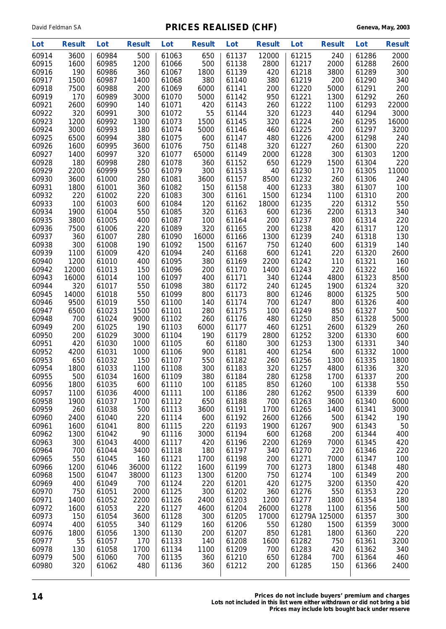| Lot            | <b>Result</b> | Lot            | <b>Result</b> | Lot            | <b>Result</b> | Lot            | <b>Result</b> | Lot            | <b>Result</b> | Lot            | <b>Result</b> |
|----------------|---------------|----------------|---------------|----------------|---------------|----------------|---------------|----------------|---------------|----------------|---------------|
| 60914          | 3600          | 60984          | 500           | 61063          | 650           | 61137          | 12000         | 61215          | 240           | 61286          | 2000          |
| 60915          | 1600          | 60985          | 1200          | 61066          | 500           | 61138          | 2800          | 61217          | 2000          | 61288          | 2600          |
| 60916          | 190           | 60986          | 360           | 61067          | 1800          | 61139          | 420           | 61218          | 3800          | 61289          | 300           |
| 60917          | 1500          | 60987          | 1400          | 61068          | 380           | 61140          | 380           | 61219          | 200           | 61290          | 340           |
| 60918          | 7500          | 60988          | 200           | 61069          | 6000          | 61141          | 200           | 61220          | 5000          | 61291          | 200           |
| 60919          | 170           | 60989          | 3000          | 61070          | 5000          | 61142          | 950           | 61221          | 1300          | 61292          | 260           |
| 60921          | 2600          | 60990          | 140           | 61071          | 420           | 61143          | 260           | 61222          | 1100          | 61293          | 22000         |
| 60922          | 320           | 60991          | 300           | 61072          | 55            | 61144          | 320           | 61223          | 440           | 61294          | 3000          |
| 60923          | 1200          | 60992          | 1300          | 61073          | 1500          | 61145          | 320           | 61224          | 260           | 61295          | 16000         |
| 60924<br>60925 | 3000<br>6500  | 60993<br>60994 | 180<br>380    | 61074<br>61075 | 5000<br>600   | 61146<br>61147 | 460<br>480    | 61225<br>61226 | 200<br>4200   | 61297<br>61298 | 3200<br>240   |
| 60926          | 1600          | 60995          | 3600          | 61076          | 750           | 61148          | 320           | 61227          | 260           | 61300          | 220           |
| 60927          | 1400          | 60997          | 320           | 61077          | 65000         | 61149          | 2000          | 61228          | 300           | 61303          | 1200          |
| 60928          | 180           | 60998          | 280           | 61078          | 360           | 61152          | 650           | 61229          | 1500          | 61304          | 220           |
| 60929          | 2200          | 60999          | 550           | 61079          | 300           | 61153          | 40            | 61230          | 170           | 61305          | 11000         |
| 60930          | 3600          | 61000          | 280           | 61081          | 3600          | 61157          | 8500          | 61232          | 260           | 61306          | 240           |
| 60931          | 1800          | 61001          | 360           | 61082          | 150           | 61158          | 400           | 61233          | 380           | 61307          | 100           |
| 60932          | 220           | 61002          | 220           | 61083          | 300           | 61161          | 1500          | 61234          | 1100          | 61310          | 200           |
| 60933          | 100           | 61003          | 600           | 61084          | 120           | 61162          | 18000         | 61235          | 220           | 61312          | 550           |
| 60934          | 1900          | 61004          | 550           | 61085          | 320           | 61163          | 600           | 61236          | 2200          | 61313          | 340           |
| 60935          | 3800          | 61005          | 400           | 61087          | 100           | 61164          | 200           | 61237          | 800           | 61314          | 220           |
| 60936          | 7500          | 61006          | 220           | 61089          | 320           | 61165          | 200           | 61238          | 420           | 61317          | 120           |
| 60937          | 360           | 61007          | 280           | 61090          | 16000         | 61166          | 1300          | 61239          | 240           | 61318          | 130           |
| 60938          | 300           | 61008          | 190           | 61092          | 1500          | 61167          | 750           | 61240          | 600           | 61319          | 140           |
| 60939          | 1100          | 61009<br>61010 | 420           | 61094<br>61095 | 240           | 61168          | 600           | 61241          | 220           | 61320<br>61321 | 2600          |
| 60940<br>60942 | 1200<br>12000 | 61013          | 400<br>150    | 61096          | 380<br>200    | 61169<br>61170 | 2200<br>1400  | 61242<br>61243 | 110<br>220    | 61322          | 160<br>160    |
| 60943          | 16000         | 61014          | 100           | 61097          | 400           | 61171          | 340           | 61244          | 4800          | 61323          | 8500          |
| 60944          | 320           | 61017          | 550           | 61098          | 380           | 61172          | 240           | 61245          | 1900          | 61324          | 320           |
| 60945          | 14000         | 61018          | 550           | 61099          | 800           | 61173          | 800           | 61246          | 8000          | 61325          | 500           |
| 60946          | 9500          | 61019          | 550           | 61100          | 140           | 61174          | 700           | 61247          | 800           | 61326          | 400           |
| 60947          | 6500          | 61023          | 1500          | 61101          | 280           | 61175          | 100           | 61249          | 850           | 61327          | 500           |
| 60948          | 700           | 61024          | 9000          | 61102          | 260           | 61176          | 480           | 61250          | 850           | 61328          | 5000          |
| 60949          | 200           | 61025          | 190           | 61103          | 6000          | 61177          | 460           | 61251          | 2600          | 61329          | 260           |
| 60950          | 200           | 61029          | 3000          | 61104          | 190           | 61179          | 2800          | 61252          | 3200          | 61330          | 600           |
| 60951          | 420           | 61030          | 1000          | 61105          | 60            | 61180          | 300           | 61253          | 1300          | 61331          | 340           |
| 60952          | 4200          | 61031          | 1000          | 61106          | 900           | 61181          | 400           | 61254          | 600           | 61332          | 1000          |
| 60953          | 650           | 61032          | 150           | 61107          | 550           | 61182          | 260           | 61256          | 1300          | 61335          | 1800          |
| 60954          | 1800          | 61033          | 1100          | 61108          | 300           | 61183          | 320           | 61257          | 4800          | 61336          | 320           |
| 60955<br>60956 | 500<br>1800   | 61034<br>61035 | 1600<br>600   | 61109<br>61110 | 380<br>100    | 61184<br>61185 | 280<br>850    | 61258<br>61260 | 1700<br>100   | 61337<br>61338 | 200<br>550    |
| 60957          | 1100          | 61036          | 4000          | 61111          | 100           | 61186          | 280           | 61262          | 9500          | 61339          | 600           |
| 60958          | 1900          | 61037          | 1700          | 61112          | 650           | 61188          | 700           | 61263          | 3600          | 61340          | 6000          |
| 60959          | 260           | 61038          | 500           | 61113          | 3600          | 61191          | 1700          | 61265          | 1400          | 61341          | 3000          |
| 60960          | 2400          | 61040          | 220           | 61114          | 600           | 61192          | 2600          | 61266          | 500           | 61342          | 190           |
| 60961          | 1600          | 61041          | 800           | 61115          | 220           | 61193          | 1900          | 61267          | 900           | 61343          | 50            |
| 60962          | 1300          | 61042          | 90            | 61116          | 3000          | 61194          | 600           | 61268          | 200           | 61344          | 400           |
| 60963          | 300           | 61043          | 4000          | 61117          | 420           | 61196          | 2200          | 61269          | 7000          | 61345          | 420           |
| 60964          | 700           | 61044          | 3400          | 61118          | 180           | 61197          | 340           | 61270          | 220           | 61346          | 220           |
| 60965          | 550           | 61045          | 160           | 61121          | 1700          | 61198          | 200           | 61271          | 7000          | 61347          | 100           |
| 60966          | 1200          | 61046          | 36000         | 61122          | 1600          | 61199          | 700           | 61273          | 1800          | 61348          | 480           |
| 60968          | 1500          | 61047          | 38000         | 61123          | 1300          | 61200          | 750           | 61274          | 100           | 61349          | 200           |
| 60969          | 400           | 61049          | 700           | 61124          | 220           | 61201          | 420           | 61275          | 3200          | 61350          | 420           |
| 60970          | 750           | 61051          | 2000          | 61125          | 300           | 61202          | 360           | 61276          | 550           | 61353          | 220           |
| 60971<br>60972 | 1400<br>1600  | 61052<br>61053 | 2200<br>220   | 61126<br>61127 | 2400<br>4600  | 61203<br>61204 | 1200<br>26000 | 61277<br>61278 | 1800<br>1100  | 61354<br>61356 | 180<br>500    |
| 60973          | 150           | 61054          | 3600          | 61128          | 300           | 61205          | 17000         |                | 61279A 125000 | 61357          | 300           |
| 60974          | 400           | 61055          | 340           | 61129          | 160           | 61206          | 550           | 61280          | 1500          | 61359          | 3000          |
| 60976          | 1800          | 61056          | 1300          | 61130          | 200           | 61207          | 850           | 61281          | 1800          | 61360          | 220           |
| 60977          | 55            | 61057          | 170           | 61133          | 140           | 61208          | 1600          | 61282          | 750           | 61361          | 3200          |
| 60978          | 130           | 61058          | 1700          | 61134          | 1100          | 61209          | 700           | 61283          | 420           | 61362          | 340           |
| 60979          | 500           | 61060          | 700           | 61135          | 360           | 61210          | 650           | 61284          | 700           | 61364          | 460           |
| 60980          | 320           | 61062          | 480           | 61136          | 360           | 61212          | 200           | 61285          | 150           | 61366          | 2400          |
|                |               |                |               |                |               |                |               |                |               |                |               |

**14 Prices do not include buyers' premium and charges Lots not included in this list were either withdrawn or did not bring a bid**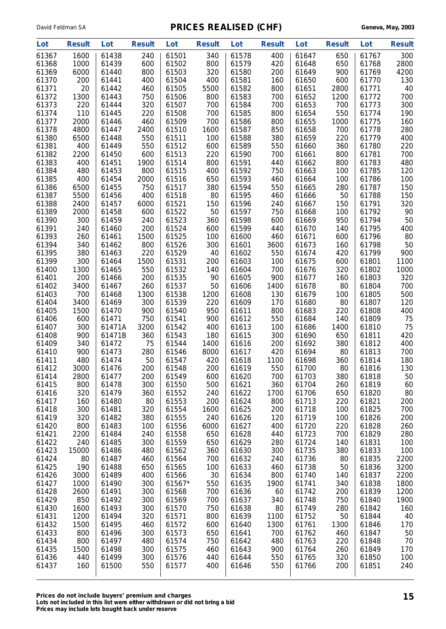| Lot            | <b>Result</b> | Lot            | <b>Result</b> | Lot            | <b>Result</b> | Lot            | <b>Result</b> | Lot            | <b>Result</b> | Lot            | <b>Result</b> |
|----------------|---------------|----------------|---------------|----------------|---------------|----------------|---------------|----------------|---------------|----------------|---------------|
| 61367          | 1600          | 61438          | 240           | 61501          | 340           | 61578          | 400           | 61647          | 650           | 61767          | 300           |
| 61368          | 1000          | 61439          | 600           | 61502          | 800           | 61579          | 420           | 61648          | 650           | 61768          | 2800          |
| 61369          | 6000          | 61440          | 800           | 61503          | 320           | 61580          | 200           | 61649          | 900           | 61769          | 4200          |
| 61370          | 200           | 61441          | 400           | 61504          | 400           | 61581          | 160           | 61650          | 600           | 61770          | 130           |
| 61371          | 20            | 61442          | 460           | 61505          | 5500          | 61582          | 800           | 61651          | 2800          | 61771          | 40            |
| 61372          | 1300          | 61443          | 750           | 61506          | 800           | 61583          | 700           | 61652          | 1200          | 61772          | 700           |
| 61373          | 220           | 61444          | 320           | 61507          | 700           | 61584          | 700           | 61653          | 700           | 61773          | 300           |
| 61374          | 110           | 61445          | 220           | 61508          | 700           | 61585          | 800           | 61654          | 550           | 61774          | 190           |
| 61377          | 2000          | 61446          | 460           | 61509          | 700           | 61586          | 800           | 61655          | 1000          | 61775          | 160           |
| 61378          | 4800          | 61447          | 2400          | 61510          | 1600          | 61587          | 850           | 61658          | 700           | 61778          | 280           |
| 61380          | 6500          | 61448          | 550           | 61511          | 100           | 61588          | 380           | 61659          | 220           | 61779          | 400           |
| 61381          | 400           | 61449          | 550           | 61512          | 600           | 61589          | 550           | 61660          | 360           | 61780          | 220           |
| 61382          | 2200          | 61450          | 600           | 61513          | 220           | 61590          | 700           | 61661          | 800           | 61781          | 700           |
| 61383          | 400           | 61451          | 1900          | 61514          | 800           | 61591          | 440           | 61662          | 800           | 61783          | 480           |
| 61384          | 480           | 61453          | 800           | 61515          | 400           | 61592          | 750           | 61663          | 100           | 61785          | 120           |
| 61385          | 400           | 61454          | 2000          | 61516          | 650           | 61593          | 460           | 61664          | 100           | 61786          | 100           |
| 61386          | 6500          | 61455          | 750           | 61517          | 380           | 61594          | 550           | 61665          | 280           | 61787          | 150           |
| 61387          | 5500          | 61456          | 400           | 61518          | 80            | 61595          | 460           | 61666          | 50            | 61788          | 150           |
| 61388          | 2400          | 61457          | 6000          | 61521          | 150           | 61596          | 240           | 61667          | 150           | 61791          | 320           |
| 61389          | 2000          | 61458          | 600           | 61522          | 50            | 61597          | 750           | 61668          | 100           | 61792          | 90            |
| 61390          | 300           | 61459          | 240           | 61523          | 360           | 61598          | 600           | 61669          | 950           | 61794          | 50            |
| 61391          | 240           | 61460          | 200           | 61524          | 600           | 61599          | 440           | 61670          | 140           | 61795          | 400           |
| 61393          | 260           | 61461          | 1500          | 61525          | 100           | 61600          | 460           | 61671          | 600           | 61796          | 80            |
| 61394          | 340           | 61462          | 800           | 61526          | 300           | 61601          | 3600          | 61673          | 160           | 61798          | 50            |
| 61395          | 380           | 61463          | 220           | 61529          | 40            | 61602          | 550           | 61674          | 420           | 61799          | 900           |
| 61399          | 300           | 61464          | 1500          | 61531          | 200           | 61603          | 100           | 61675          | 600           | 61801          | 1100          |
| 61400          | 1300          | 61465          | 550           | 61532          | 140           | 61604          | 700           | 61676          | 320           | 61802          | 1000          |
| 61401          | 200           | 61466          | 200           | 61535          | 90            | 61605          | 900           | 61677          | 160           | 61803          | 320           |
| 61402          | 3400          | 61467          | 260           | 61537          | 50            | 61606          | 1400          | 61678          | 80            | 61804          | 700           |
| 61403          | 700           | 61468          | 1300          | 61538          | 1200          | 61608          | 130           | 61679          | 100           | 61805          | 500           |
| 61404          | 3400          | 61469          | 300           | 61539          | 220           | 61609          | 170           | 61680          | 80            | 61807          | 120           |
| 61405          | 1500          | 61470          | 900           | 61540          | 950           | 61611          | 800           | 61683          | 220           | 61808          | 400           |
| 61406          | 600           | 61471          | 750           | 61541          | 900           | 61612          | 550           | 61684          | 140           | 61809          | 75            |
| 61407          | 300           | 61471A         | 3200          | 61542          | 400           | 61613          | 100           | 61686          | 1400          | 61810          | 75            |
| 61408          | 900           | 61471B         | 360           | 61543          | 180           | 61615          | 300           | 61690          | 650           | 61811          | 420           |
| 61409          | 340           | 61472          | 75            | 61544          | 1400          | 61616          | 200           | 61692          | 380           | 61812          | 400           |
| 61410          | 900           | 61473<br>61474 | 280           | 61546          | 8000          | 61617          | 420           | 61694          | 80            | 61813          | 700           |
| 61411<br>61412 | 480<br>3000   | 61476          | 50<br>200     | 61547<br>61548 | 420<br>200    | 61618          | 1100<br>550   | 61698<br>61700 | 360<br>80     | 61814<br>61816 | 180<br>130    |
| 61414          | 2800          | 61477          | 200           | 61549          | 600           | 61619<br>61620 | 700           | 61703          | 380           | 61818          | 50            |
| 61415          | 800           | 61478          | 300           | 61550          | 500           | 61621          | 360           | 61704          | 260           | 61819          | 60            |
| 61416          | 320           | 61479          | 360           | 61552          | 240           | 61622          | 1700          | 61706          | 650           | 61820          | 80            |
| 61417          | 160           | 61480          | 80            | 61553          | 200           | 61624          | 800           | 61713          | 220           | 61821          | 200           |
| 61418          | 300           | 61481          | 320           | 61554          | 1600          | 61625          | 200           | 61718          | 100           | 61825          | 700           |
| 61419          | 320           | 61482          | 380           | 61555          | 240           | 61626          | 120           | 61719          | 100           | 61826          | 200           |
| 61420          | 800           | 61483          | 100           | 61556          | 6000          | 61627          | 400           | 61720          | 220           | 61828          | 260           |
| 61421          | 2200          | 61484          | 240           | 61558          | 650           | 61628          | 440           | 61723          | 700           | 61829          | 280           |
| 61422          | 240           | 61485          | 300           | 61559          | 650           | 61629          | 280           | 61724          | 140           | 61831          | 100           |
| 61423          | 15000         | 61486          | 480           | 61562          | 360           | 61630          | 300           | 61735          | 380           | 61833          | 100           |
| 61424          | 80            | 61487          | 460           | 61564          | 700           | 61632          | 240           | 61736          | 80            | 61835          | 2200          |
| 61425          | 190           | 61488          | 650           | 61565          | 100           | 61633          | 460           | 61738          | 50            | 61836          | 3200          |
| 61426          | 3000          | 61489          | 400           | 61566          | 30            | 61634          | 800           | 61740          | 140           | 61837          | 2200          |
| 61427          | 1000          | 61490          | 300           | 61567*         | 550           | 61635          | 1900          | 61741          | 340           | 61838          | 1800          |
| 61428          | 2600          | 61491          | 300           | 61568          | 700           | 61636          | 60            | 61742          | 200           | 61839          | 1200          |
| 61429          | 850           | 61492          | 300           | 61569          | 700           | 61637          | 340           | 61748          | 750           | 61840          | 1900          |
| 61430          | 1600          | 61493          | 300           | 61570          | 750           | 61638          | 80            | 61749          | 280           | 61842          | 160           |
| 61431          | 1200          | 61494          | 320           | 61571          | 800           | 61639          | 1100          | 61752          | 50            | 61844          | 40            |
| 61432          | 1500          | 61495          | 460           | 61572          | 600           | 61640          | 1300          | 61761          | 1300          | 61846          | 170           |
| 61433          | 800           | 61496          | 300           | 61573          | 650           | 61641          | 700           | 61762          | 460           | 61847          | 50            |
| 61434          | 800           | 61497          | 480           | 61574          | 750           | 61642          | 480           | 61763          | 220           | 61848          | 70            |
| 61435          | 1500          | 61498          | 300           | 61575          | 460           | 61643          | 900           | 61764          | 260           | 61849          | 170           |
| 61436          | 440           | 61499          | 300           | 61576          | 440           | 61644          | 550           | 61765          | 320           | 61850          | 100           |
| 61437          | 160           | 61500          | 550           | 61577          | 400           | 61646          | 550           | 61766          | 200           | 61851          | 240           |
|                |               |                |               |                |               |                |               |                |               |                |               |

**Prices do not include buyers' premium and charges 15 Lots not included in this list were either withdrawn or did not bring a bid Prices may include lots bought back under reserve**